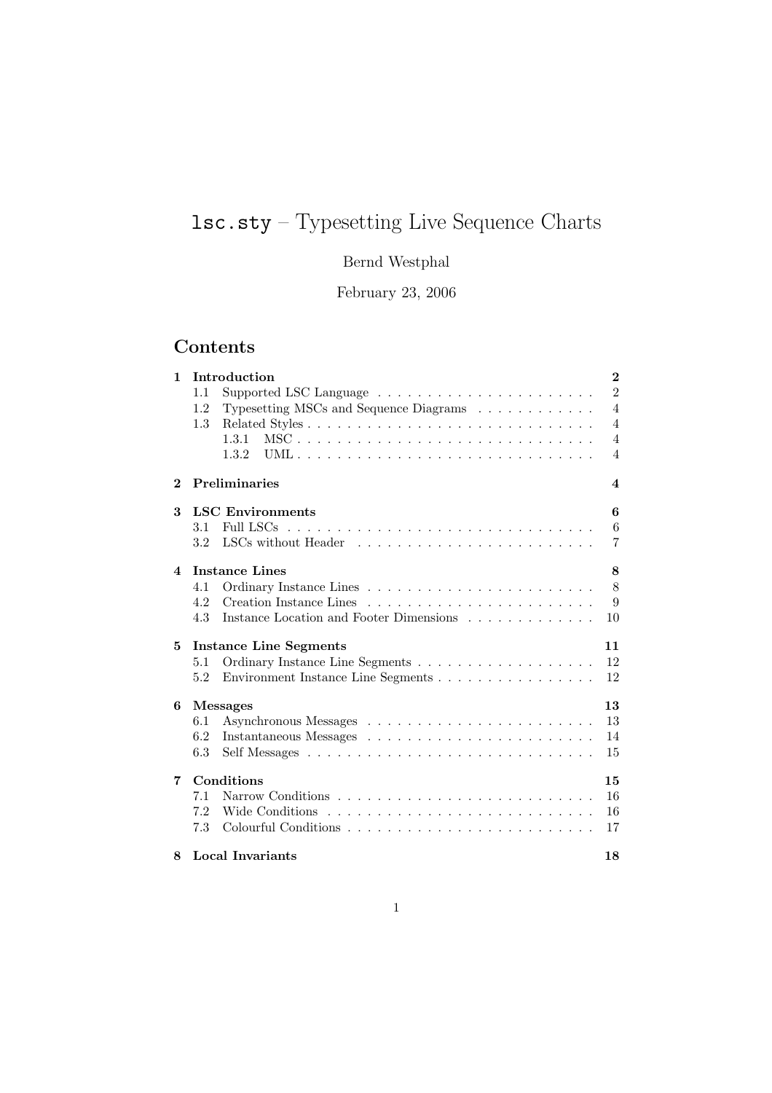# lsc.sty – Typesetting Live Sequence Charts

# Bernd Westphal

February 23, 2006

# Contents

| $\mathbf{1}$ | Introduction                                                                     | $\bf{2}$       |
|--------------|----------------------------------------------------------------------------------|----------------|
|              | Supported LSC Language $\ldots \ldots \ldots \ldots \ldots \ldots \ldots$<br>1.1 | $\overline{2}$ |
|              | Typesetting MSCs and Sequence Diagrams<br>1.2                                    | $\overline{4}$ |
|              | 1.3                                                                              | $\overline{4}$ |
|              | 1.3.1                                                                            | $\overline{4}$ |
|              | 1.3.2                                                                            | $\overline{4}$ |
| $\bf{2}$     | <b>Preliminaries</b>                                                             | 4              |
| 3            | <b>LSC</b> Environments                                                          | 6              |
|              | 3.1                                                                              | 6              |
|              | 3.2                                                                              | 7              |
| 4            | <b>Instance Lines</b>                                                            | 8              |
|              | 4.1                                                                              | 8              |
|              | 4.2                                                                              | 9              |
|              | 4.3<br>Instance Location and Footer Dimensions                                   | 10             |
| 5            | <b>Instance Line Segments</b>                                                    | 11             |
|              | 5.1                                                                              | 12             |
|              | Environment Instance Line Segments<br>5.2                                        | 12             |
| 6            | <b>Messages</b>                                                                  | 13             |
|              | 6.1                                                                              | 13             |
|              | 6.2                                                                              | 14             |
|              | 6.3                                                                              | 15             |
| 7            | Conditions                                                                       | 15             |
|              | 7.1                                                                              | 16             |
|              | 7.2                                                                              | 16             |
|              | 7.3                                                                              | 17             |
| 8            | Local Invariants                                                                 | 18             |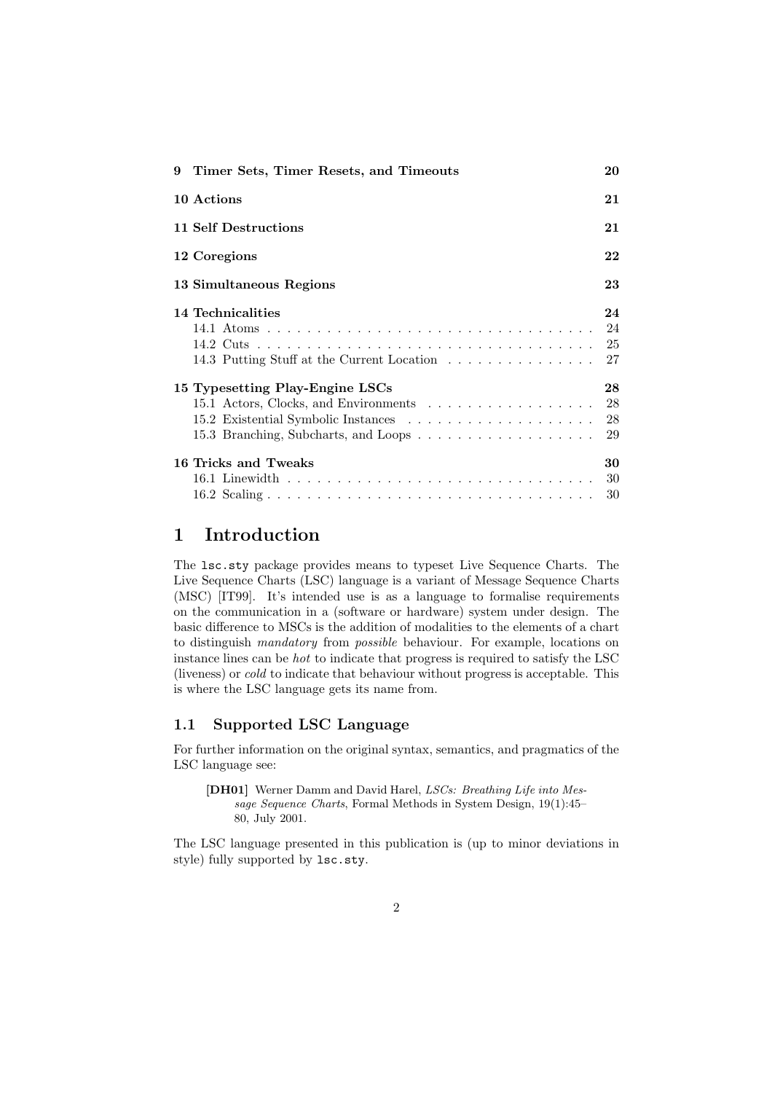| 9 Timer Sets, Timer Resets, and Timeouts | 20 |
|------------------------------------------|----|
| 10 Actions                               | 21 |
| 11 Self Destructions                     | 21 |
| 12 Coregions                             | 22 |
| 13 Simultaneous Regions                  | 23 |
| 14 Technicalities                        | 24 |
|                                          |    |
|                                          | 25 |
|                                          | 27 |
| 15 Typesetting Play-Engine LSCs          | 28 |
|                                          | 28 |
|                                          | 28 |
| 15.3 Branching, Subcharts, and Loops     | 29 |
| 16 Tricks and Tweaks                     | 30 |
|                                          | 30 |
|                                          | 30 |

# 1 Introduction

The lsc.sty package provides means to typeset Live Sequence Charts. The Live Sequence Charts (LSC) language is a variant of Message Sequence Charts (MSC) [IT99]. It's intended use is as a language to formalise requirements on the communication in a (software or hardware) system under design. The basic difference to MSCs is the addition of modalities to the elements of a chart to distinguish mandatory from possible behaviour. For example, locations on instance lines can be hot to indicate that progress is required to satisfy the LSC (liveness) or cold to indicate that behaviour without progress is acceptable. This is where the LSC language gets its name from.

#### 1.1 Supported LSC Language

For further information on the original syntax, semantics, and pragmatics of the LSC language see:

[DH01] Werner Damm and David Harel, LSCs: Breathing Life into Message Sequence Charts, Formal Methods in System Design, 19(1):45– 80, July 2001.

The LSC language presented in this publication is (up to minor deviations in style) fully supported by lsc.sty.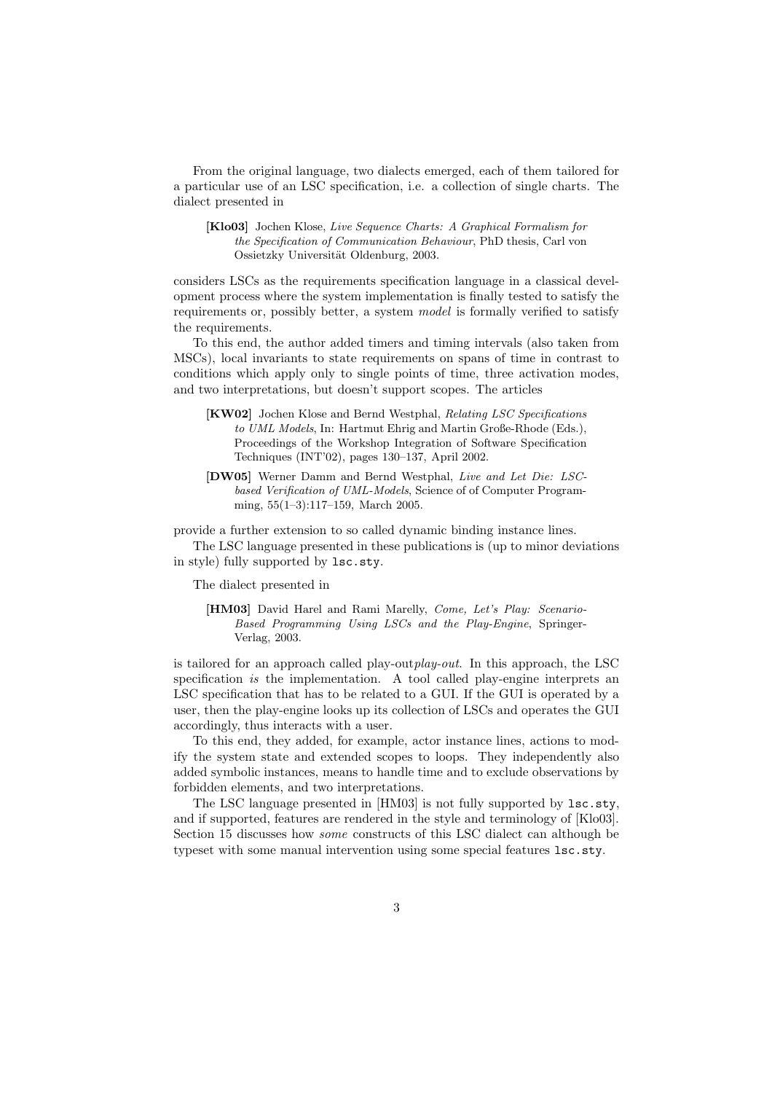From the original language, two dialects emerged, each of them tailored for a particular use of an LSC specification, i.e. a collection of single charts. The dialect presented in

[Klo03] Jochen Klose, Live Sequence Charts: A Graphical Formalism for the Specification of Communication Behaviour, PhD thesis, Carl von Ossietzky Universität Oldenburg, 2003.

considers LSCs as the requirements specification language in a classical development process where the system implementation is finally tested to satisfy the requirements or, possibly better, a system model is formally verified to satisfy the requirements.

To this end, the author added timers and timing intervals (also taken from MSCs), local invariants to state requirements on spans of time in contrast to conditions which apply only to single points of time, three activation modes, and two interpretations, but doesn't support scopes. The articles

- [KW02] Jochen Klose and Bernd Westphal, Relating LSC Specifications to UML Models, In: Hartmut Ehrig and Martin Große-Rhode (Eds.), Proceedings of the Workshop Integration of Software Specification Techniques (INT'02), pages 130–137, April 2002.
- [DW05] Werner Damm and Bernd Westphal, Live and Let Die: LSCbased Verification of UML-Models, Science of of Computer Programming, 55(1–3):117–159, March 2005.

provide a further extension to so called dynamic binding instance lines.

The LSC language presented in these publications is (up to minor deviations in style) fully supported by lsc.sty.

The dialect presented in

[HM03] David Harel and Rami Marelly, Come, Let's Play: Scenario-Based Programming Using LSCs and the Play-Engine, Springer-Verlag, 2003.

is tailored for an approach called play-outplay-out. In this approach, the LSC specification is the implementation. A tool called play-engine interprets an LSC specification that has to be related to a GUI. If the GUI is operated by a user, then the play-engine looks up its collection of LSCs and operates the GUI accordingly, thus interacts with a user.

To this end, they added, for example, actor instance lines, actions to modify the system state and extended scopes to loops. They independently also added symbolic instances, means to handle time and to exclude observations by forbidden elements, and two interpretations.

The LSC language presented in [HM03] is not fully supported by lsc.sty, and if supported, features are rendered in the style and terminology of [Klo03]. Section 15 discusses how some constructs of this LSC dialect can although be typeset with some manual intervention using some special features lsc.sty.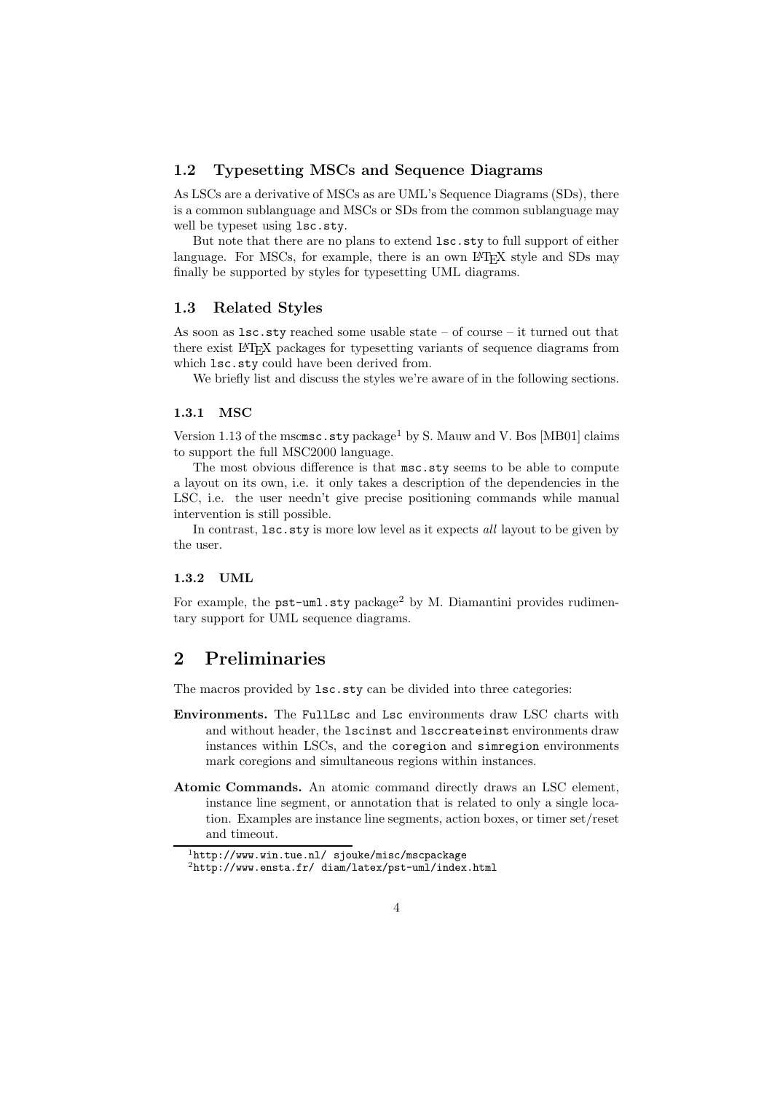#### 1.2 Typesetting MSCs and Sequence Diagrams

As LSCs are a derivative of MSCs as are UML's Sequence Diagrams (SDs), there is a common sublanguage and MSCs or SDs from the common sublanguage may well be typeset using lsc.sty.

But note that there are no plans to extend lsc.sty to full support of either language. For MSCs, for example, there is an own LAT<sub>EX</sub> style and SDs may finally be supported by styles for typesetting UML diagrams.

#### 1.3 Related Styles

As soon as lsc.sty reached some usable state – of course – it turned out that there exist L<sup>A</sup>TEX packages for typesetting variants of sequence diagrams from which  $lsc.sty$  could have been derived from.

We briefly list and discuss the styles we're aware of in the following sections.

#### 1.3.1 MSC

Version 1.13 of the mscmsc.sty package<sup>1</sup> by S. Mauw and V. Bos [MB01] claims to support the full MSC2000 language.

The most obvious difference is that msc.sty seems to be able to compute a layout on its own, i.e. it only takes a description of the dependencies in the LSC, i.e. the user needn't give precise positioning commands while manual intervention is still possible.

In contrast, lsc.sty is more low level as it expects all layout to be given by the user.

#### 1.3.2 UML

For example, the pst-uml.sty package<sup>2</sup> by M. Diamantini provides rudimentary support for UML sequence diagrams.

### 2 Preliminaries

The macros provided by lsc.sty can be divided into three categories:

- Environments. The FullLsc and Lsc environments draw LSC charts with and without header, the lscinst and lsccreateinst environments draw instances within LSCs, and the coregion and simregion environments mark coregions and simultaneous regions within instances.
- Atomic Commands. An atomic command directly draws an LSC element, instance line segment, or annotation that is related to only a single location. Examples are instance line segments, action boxes, or timer set/reset and timeout.

<sup>1</sup>http://www.win.tue.nl/ sjouke/misc/mscpackage

<sup>2</sup>http://www.ensta.fr/ diam/latex/pst-uml/index.html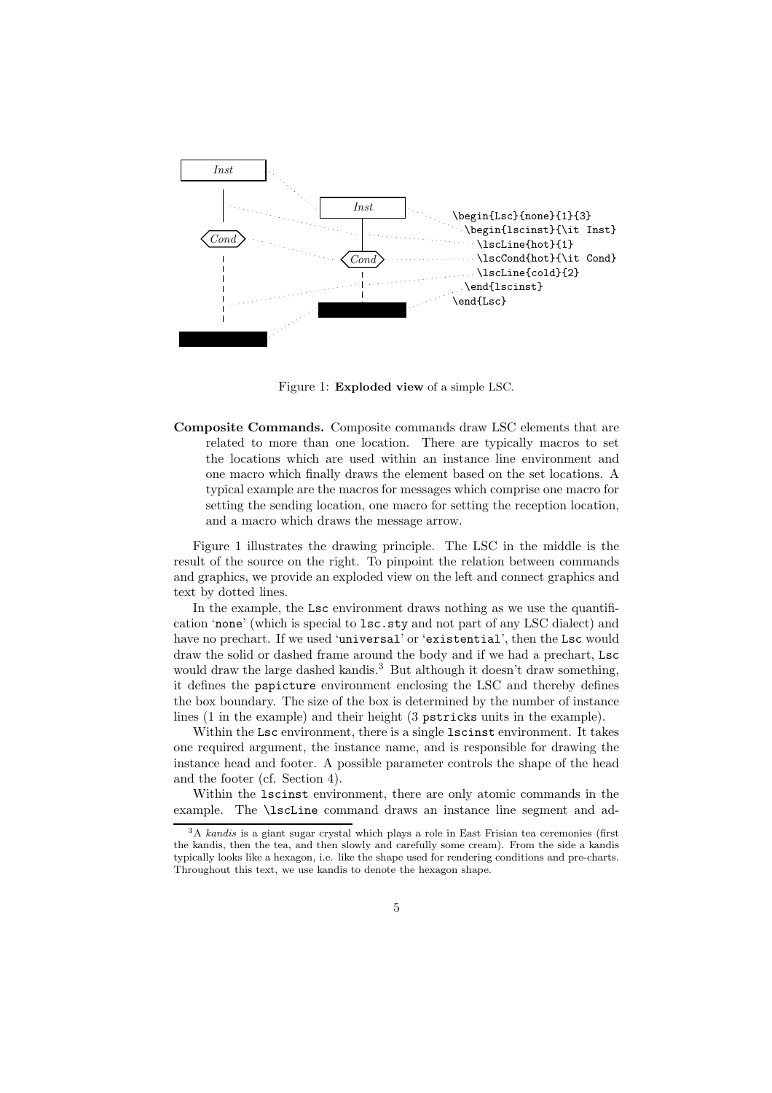

Figure 1: Exploded view of a simple LSC.

Composite Commands. Composite commands draw LSC elements that are related to more than one location. There are typically macros to set the locations which are used within an instance line environment and one macro which finally draws the element based on the set locations. A typical example are the macros for messages which comprise one macro for setting the sending location, one macro for setting the reception location, and a macro which draws the message arrow.

Figure 1 illustrates the drawing principle. The LSC in the middle is the result of the source on the right. To pinpoint the relation between commands and graphics, we provide an exploded view on the left and connect graphics and text by dotted lines.

In the example, the Lsc environment draws nothing as we use the quantification 'none' (which is special to lsc.sty and not part of any LSC dialect) and have no prechart. If we used 'universal' or 'existential', then the Lsc would draw the solid or dashed frame around the body and if we had a prechart, Lsc would draw the large dashed kandis.<sup>3</sup> But although it doesn't draw something, it defines the pspicture environment enclosing the LSC and thereby defines the box boundary. The size of the box is determined by the number of instance lines (1 in the example) and their height (3 pstricks units in the example).

Within the Lsc environment, there is a single lscinst environment. It takes one required argument, the instance name, and is responsible for drawing the instance head and footer. A possible parameter controls the shape of the head and the footer (cf. Section 4).

Within the lscinst environment, there are only atomic commands in the example. The \lscLine command draws an instance line segment and ad-

<sup>3</sup>A kandis is a giant sugar crystal which plays a role in East Frisian tea ceremonies (first the kandis, then the tea, and then slowly and carefully some cream). From the side a kandis typically looks like a hexagon, i.e. like the shape used for rendering conditions and pre-charts. Throughout this text, we use kandis to denote the hexagon shape.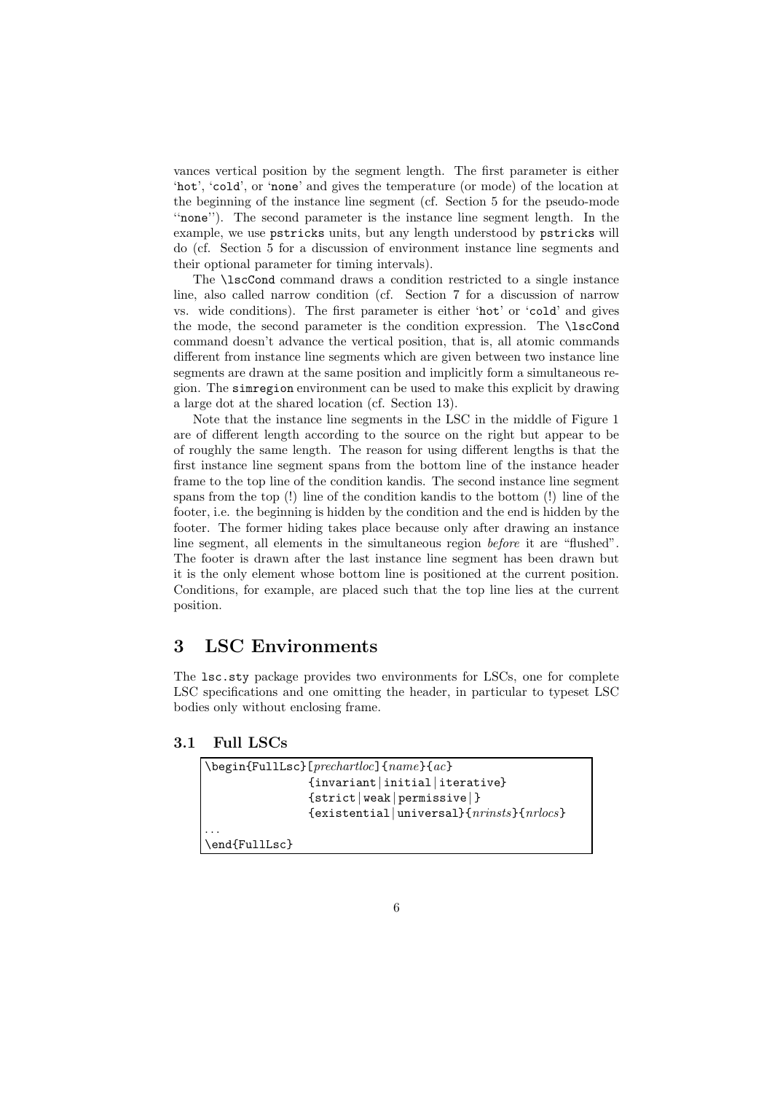vances vertical position by the segment length. The first parameter is either 'hot', 'cold', or 'none' and gives the temperature (or mode) of the location at the beginning of the instance line segment (cf. Section 5 for the pseudo-mode ''none''). The second parameter is the instance line segment length. In the example, we use pstricks units, but any length understood by pstricks will do (cf. Section 5 for a discussion of environment instance line segments and their optional parameter for timing intervals).

The \lscCond command draws a condition restricted to a single instance line, also called narrow condition (cf. Section 7 for a discussion of narrow vs. wide conditions). The first parameter is either 'hot' or 'cold' and gives the mode, the second parameter is the condition expression. The \lscCond command doesn't advance the vertical position, that is, all atomic commands different from instance line segments which are given between two instance line segments are drawn at the same position and implicitly form a simultaneous region. The simregion environment can be used to make this explicit by drawing a large dot at the shared location (cf. Section 13).

Note that the instance line segments in the LSC in the middle of Figure 1 are of different length according to the source on the right but appear to be of roughly the same length. The reason for using different lengths is that the first instance line segment spans from the bottom line of the instance header frame to the top line of the condition kandis. The second instance line segment spans from the top (!) line of the condition kandis to the bottom (!) line of the footer, i.e. the beginning is hidden by the condition and the end is hidden by the footer. The former hiding takes place because only after drawing an instance line segment, all elements in the simultaneous region before it are "flushed". The footer is drawn after the last instance line segment has been drawn but it is the only element whose bottom line is positioned at the current position. Conditions, for example, are placed such that the top line lies at the current position.

# 3 LSC Environments

The lsc.sty package provides two environments for LSCs, one for complete LSC specifications and one omitting the header, in particular to typeset LSC bodies only without enclosing frame.

#### 3.1 Full LSCs

|                            | {invariant   initial   iterative}                       |
|----------------------------|---------------------------------------------------------|
|                            | $\{strict  weak  permissive \}$                         |
|                            | $\{existential universal\}$ { $nri nsts$ }{ $nrl ocs$ } |
|                            |                                                         |
| $\end{math}$ \end{FullLsc} |                                                         |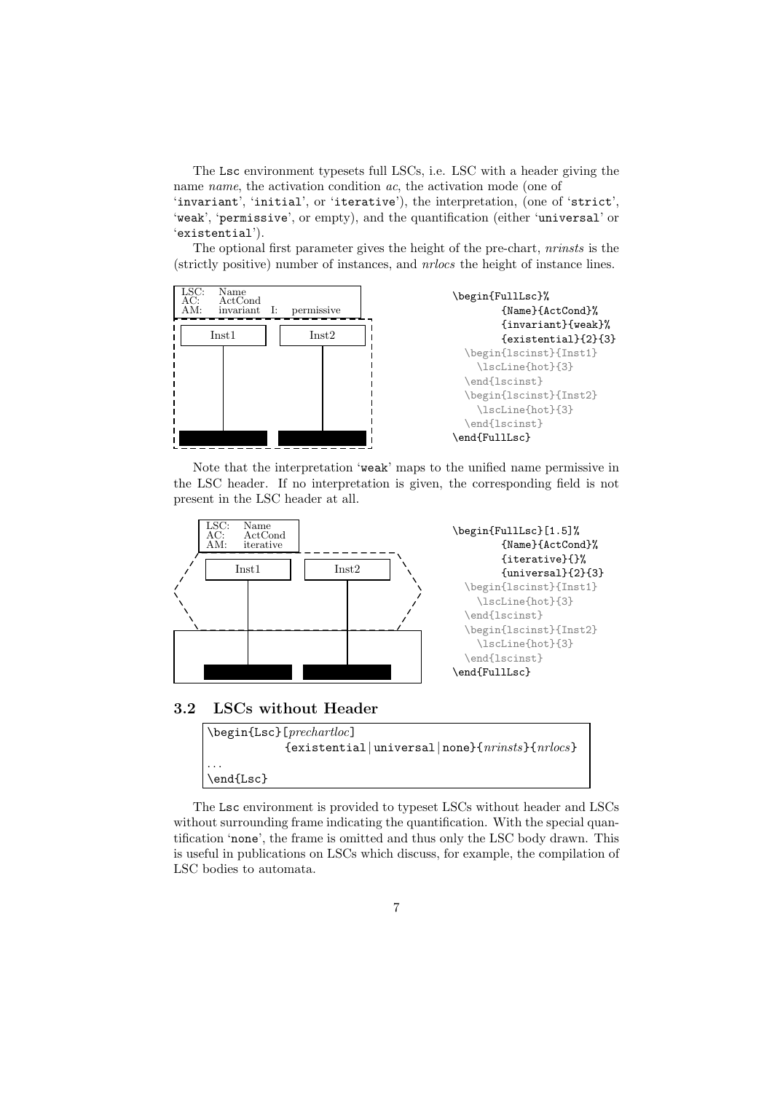The Lsc environment typesets full LSCs, i.e. LSC with a header giving the name *name*, the activation condition *ac*, the activation mode (one of 'invariant', 'initial', or 'iterative'), the interpretation, (one of 'strict', 'weak', 'permissive', or empty), and the quantification (either 'universal' or 'existential').

The optional first parameter gives the height of the pre-chart, nrinsts is the (strictly positive) number of instances, and nrlocs the height of instance lines.



Note that the interpretation 'weak' maps to the unified name permissive in the LSC header. If no interpretation is given, the corresponding field is not present in the LSC header at all.



3.2 LSCs without Header



The Lsc environment is provided to typeset LSCs without header and LSCs without surrounding frame indicating the quantification. With the special quantification 'none', the frame is omitted and thus only the LSC body drawn. This is useful in publications on LSCs which discuss, for example, the compilation of LSC bodies to automata.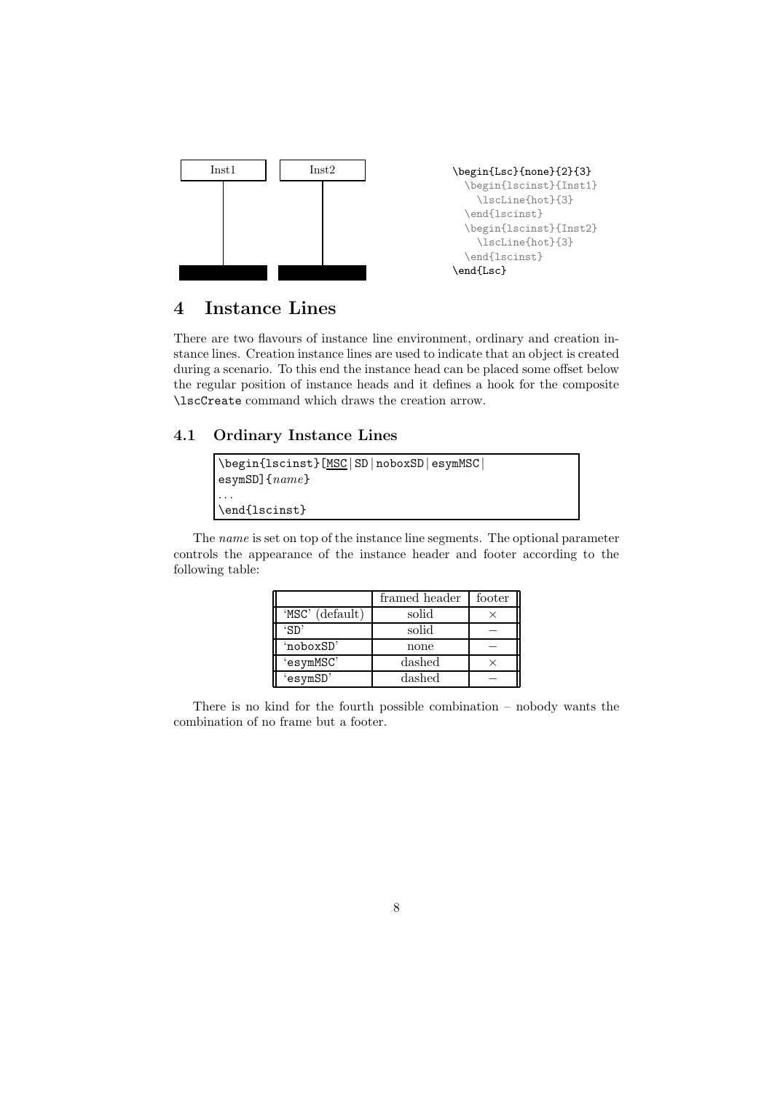

# 4 Instance Lines

There are two flavours of instance line environment, ordinary and creation instance lines. Creation instance lines are used to indicate that an object is created during a scenario. To this end the instance head can be placed some offset below the regular position of instance heads and it defines a hook for the composite \lscCreate command which draws the creation arrow.

### 4.1 Ordinary Instance Lines

| \begin{lscinst}[MSC SD noboxSD esymMSC <br>$\texttt{esymSD}$ { $name$ } |
|-------------------------------------------------------------------------|
| $\ddot{\phantom{0}}$<br>\end{lscinst}                                   |

The name is set on top of the instance line segments. The optional parameter controls the appearance of the instance header and footer according to the following table:

|                 | framed header | footer |
|-----------------|---------------|--------|
| 'MSC' (default) | solid         |        |
| 'SD'            | solid         |        |
| 'noboxSD'       | none          |        |
| 'esymMSC'       | dashed        |        |
| 'esymSD'        | dashed        |        |

There is no kind for the fourth possible combination – nobody wants the combination of no frame but a footer.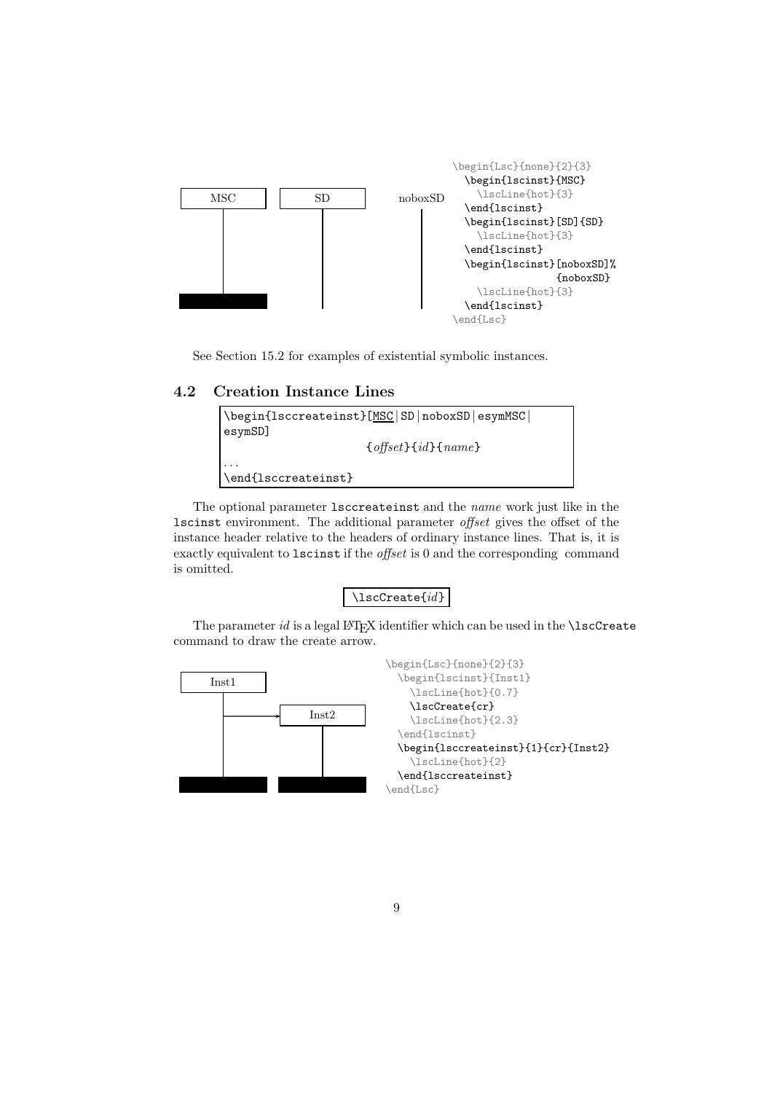

See Section 15.2 for examples of existential symbolic instances.

### 4.2 Creation Instance Lines



The optional parameter lsccreateinst and the name work just like in the lscinst environment. The additional parameter offset gives the offset of the instance header relative to the headers of ordinary instance lines. That is, it is exactly equivalent to lscinst if the offset is 0 and the corresponding command is omitted.

#### \lscCreate{id}

The parameter  $id$  is a legal LAT<sub>E</sub>X identifier which can be used in the  $\iota$ scCreate command to draw the create arrow.

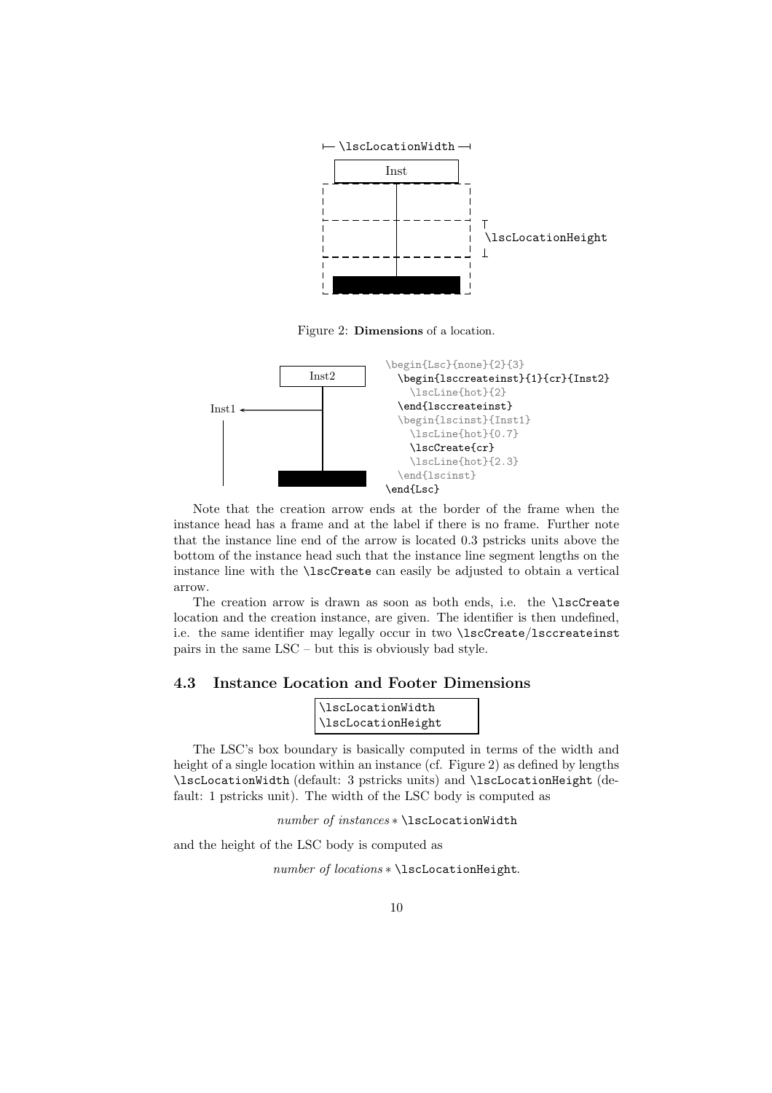

Figure 2: Dimensions of a location.



Note that the creation arrow ends at the border of the frame when the instance head has a frame and at the label if there is no frame. Further note that the instance line end of the arrow is located 0.3 pstricks units above the bottom of the instance head such that the instance line segment lengths on the instance line with the \lscCreate can easily be adjusted to obtain a vertical arrow.

The creation arrow is drawn as soon as both ends, i.e. the \lscCreate location and the creation instance, are given. The identifier is then undefined, i.e. the same identifier may legally occur in two \lscCreate/lsccreateinst pairs in the same LSC – but this is obviously bad style.

#### 4.3 Instance Location and Footer Dimensions

| \lscLocationWidth  |  |
|--------------------|--|
| \lscLocationHeight |  |

The LSC's box boundary is basically computed in terms of the width and height of a single location within an instance (cf. Figure 2) as defined by lengths \lscLocationWidth (default: 3 pstricks units) and \lscLocationHeight (default: 1 pstricks unit). The width of the LSC body is computed as

number of instances ∗ \lscLocationWidth

and the height of the LSC body is computed as

number of locations \* \lscLocationHeight.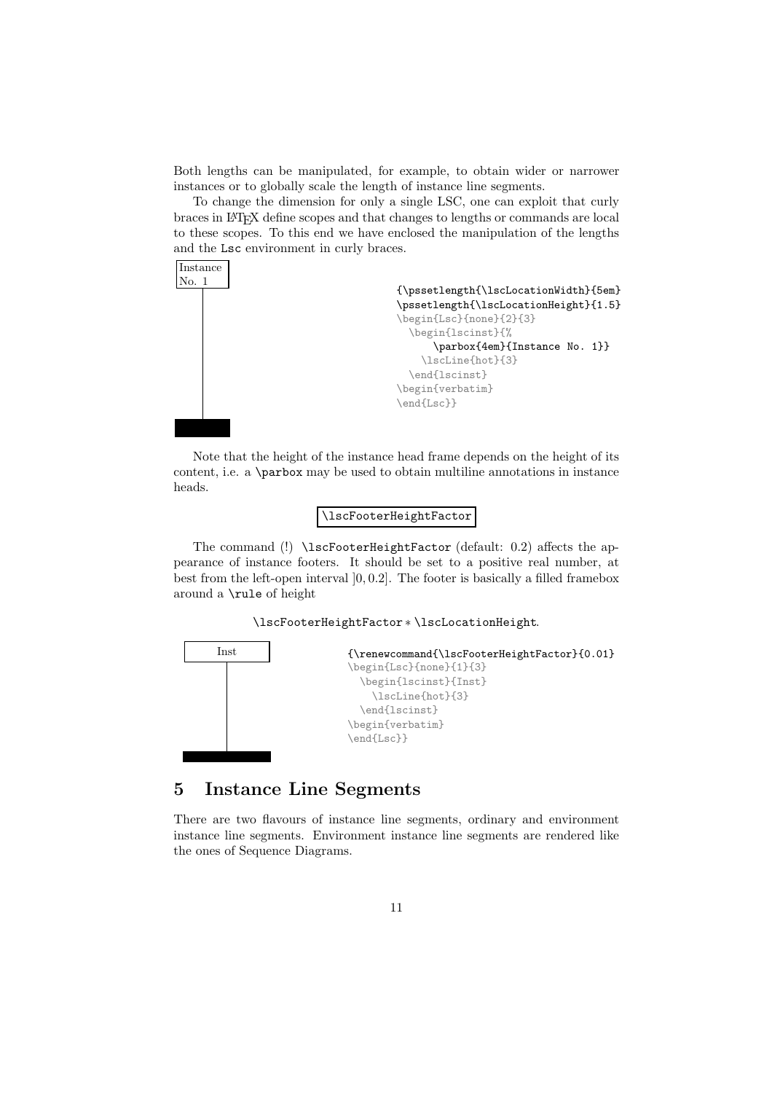Both lengths can be manipulated, for example, to obtain wider or narrower instances or to globally scale the length of instance line segments.

To change the dimension for only a single LSC, one can exploit that curly braces in L<sup>A</sup>TEX define scopes and that changes to lengths or commands are local to these scopes. To this end we have enclosed the manipulation of the lengths and the Lsc environment in curly braces.



Note that the height of the instance head frame depends on the height of its content, i.e. a \parbox may be used to obtain multiline annotations in instance heads.

#### \lscFooterHeightFactor

The command (!) \lscFooterHeightFactor (default: 0.2) affects the appearance of instance footers. It should be set to a positive real number, at best from the left-open interval ]0, 0.2]. The footer is basically a filled framebox around a \rule of height

#### \lscFooterHeightFactor ∗ \lscLocationHeight.



# 5 Instance Line Segments

There are two flavours of instance line segments, ordinary and environment instance line segments. Environment instance line segments are rendered like the ones of Sequence Diagrams.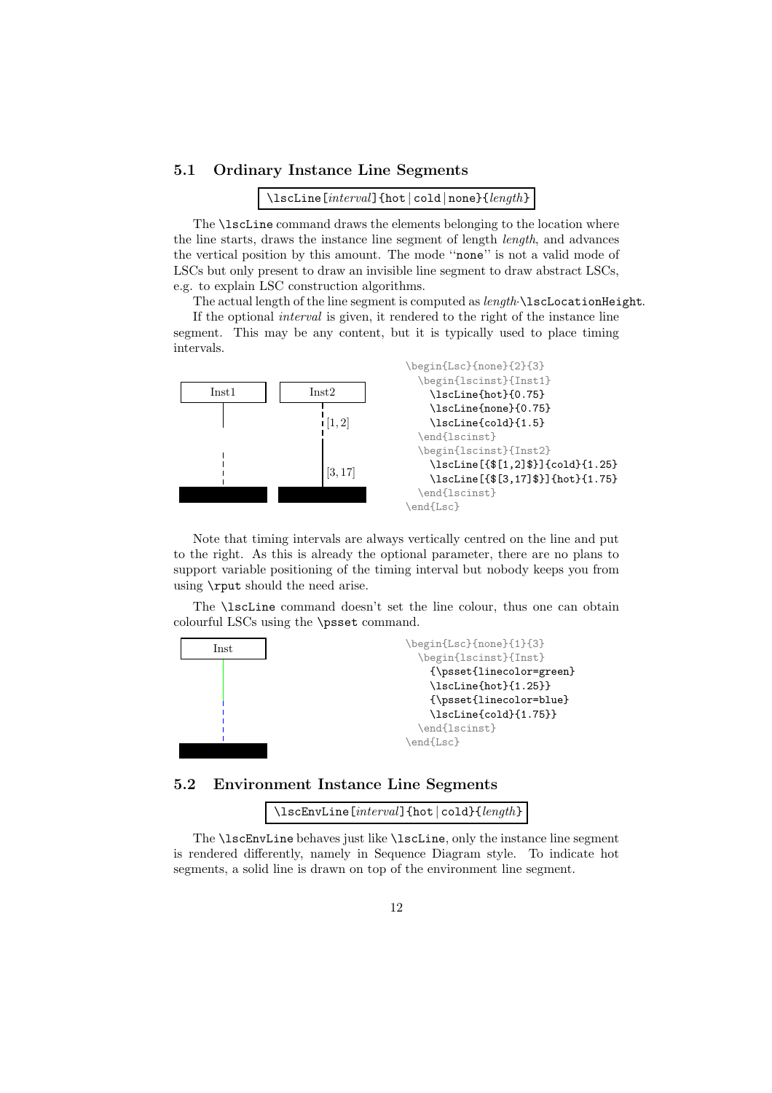#### 5.1 Ordinary Instance Line Segments

\lscLine[interval]{hot | cold | none}{length}

The **\lscLine** command draws the elements belonging to the location where the line starts, draws the instance line segment of length length, and advances the vertical position by this amount. The mode ''none'' is not a valid mode of LSCs but only present to draw an invisible line segment to draw abstract LSCs, e.g. to explain LSC construction algorithms.

The actual length of the line segment is computed as length **\lscLocationHeight**.

If the optional interval is given, it rendered to the right of the instance line segment. This may be any content, but it is typically used to place timing intervals.



Note that timing intervals are always vertically centred on the line and put to the right. As this is already the optional parameter, there are no plans to support variable positioning of the timing interval but nobody keeps you from using \rput should the need arise.

The \lscLine command doesn't set the line colour, thus one can obtain colourful LSCs using the \psset command.



5.2 Environment Instance Line Segments

\lscEnvLine[interval]{hot | cold}{length}

The \lscEnvLine behaves just like \lscLine, only the instance line segment is rendered differently, namely in Sequence Diagram style. To indicate hot segments, a solid line is drawn on top of the environment line segment.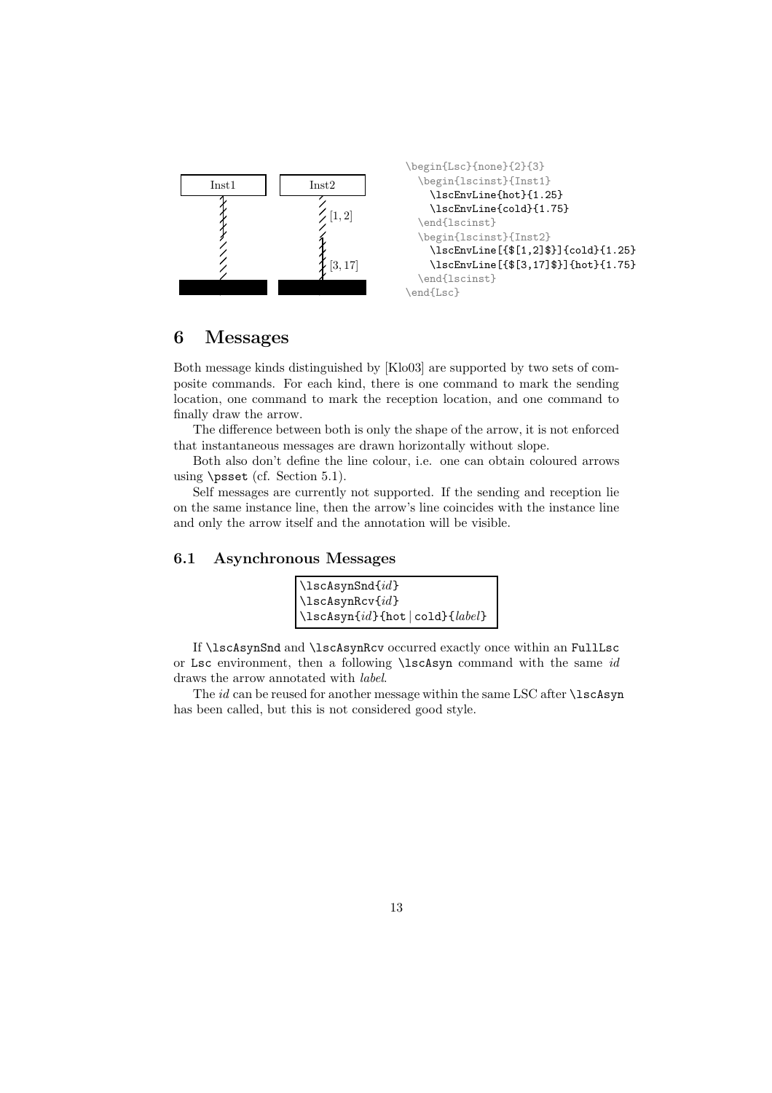

## 6 Messages

Both message kinds distinguished by [Klo03] are supported by two sets of composite commands. For each kind, there is one command to mark the sending location, one command to mark the reception location, and one command to finally draw the arrow.

The difference between both is only the shape of the arrow, it is not enforced that instantaneous messages are drawn horizontally without slope.

Both also don't define the line colour, i.e. one can obtain coloured arrows using \psset (cf. Section 5.1).

Self messages are currently not supported. If the sending and reception lie on the same instance line, then the arrow's line coincides with the instance line and only the arrow itself and the annotation will be visible.

#### 6.1 Asynchronous Messages

| $\text{lscAsynSnd}\{id\}$                |
|------------------------------------------|
| $\text{lscAsynRcv}\{id\}$                |
| $\{\lambda\$ (hot $\{cold\}$ $\{label\}$ |

If \lscAsynSnd and \lscAsynRcv occurred exactly once within an FullLsc or Lsc environment, then a following \lscAsyn command with the same id draws the arrow annotated with label.

The  $id$  can be reused for another message within the same LSC after  $\iota$ scAsyn has been called, but this is not considered good style.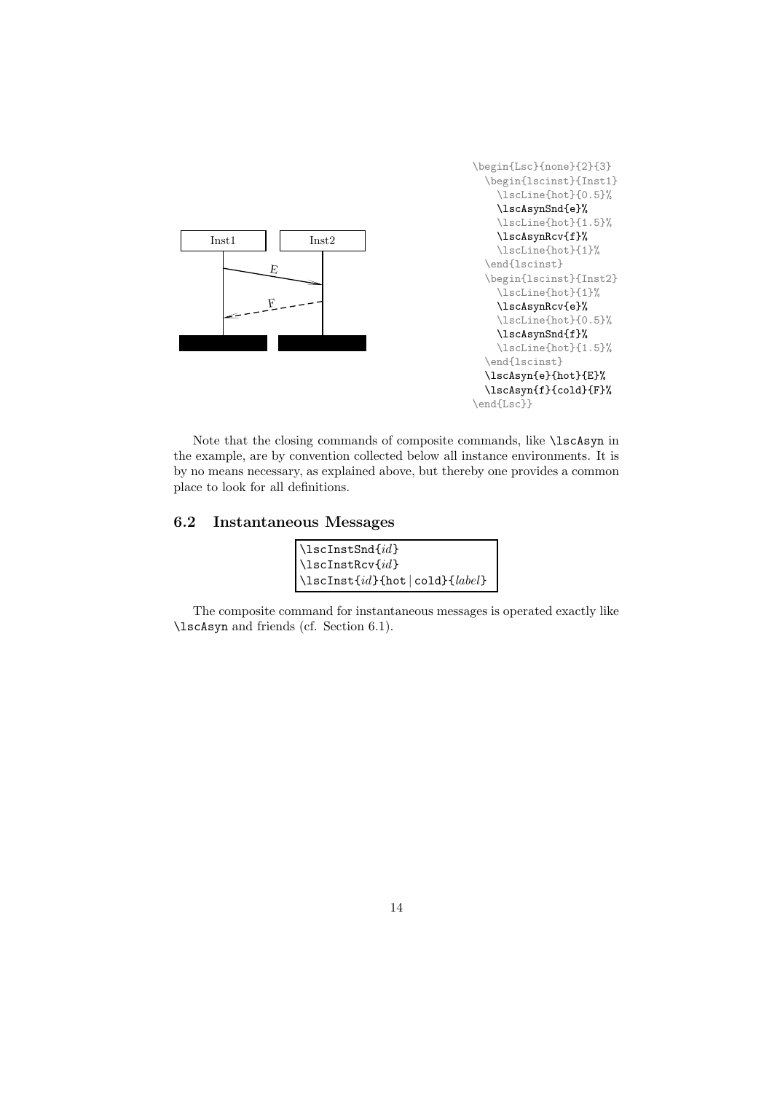

Note that the closing commands of composite commands, like \lscAsyn in the example, are by convention collected below all instance environments. It is by no means necessary, as explained above, but thereby one provides a common place to look for all definitions.

#### 6.2 Instantaneous Messages

| $\verb \llscInstSnd{#d}$                   |
|--------------------------------------------|
| $\verb \llscInstRcv{\text{}} id\text{}$    |
| $\text{lscInst}\{id\}$ {hot   cold}{label} |

The composite command for instantaneous messages is operated exactly like \lscAsyn and friends (cf. Section 6.1).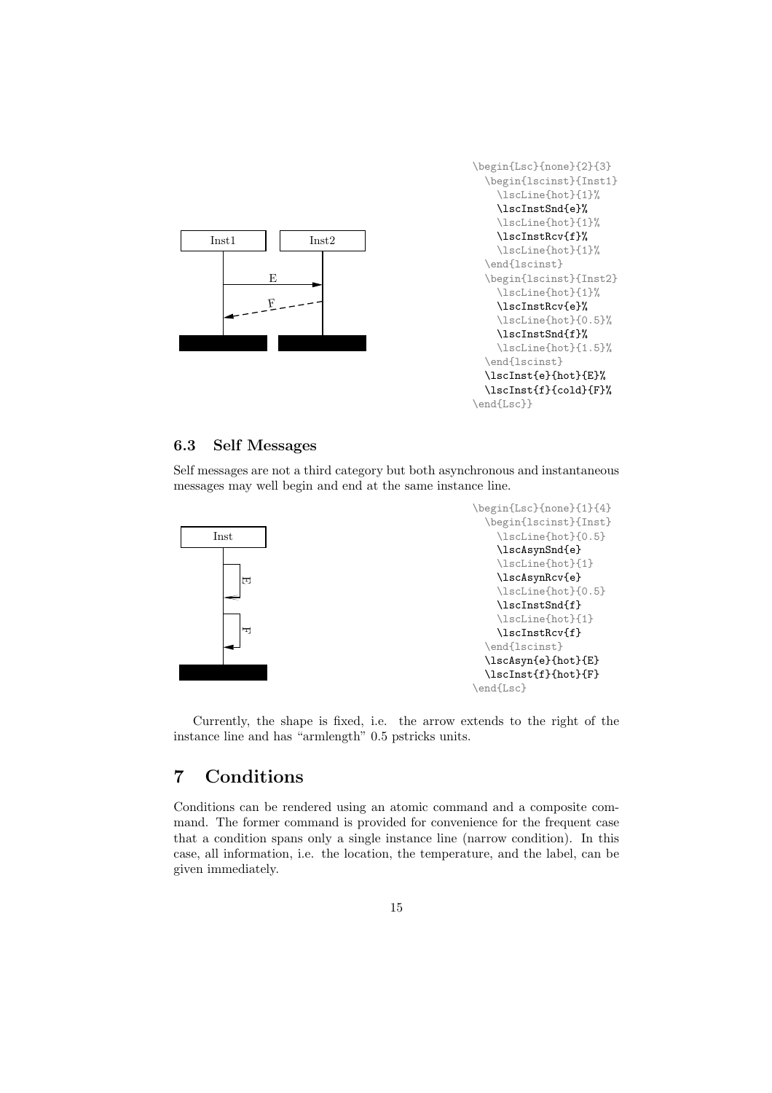

#### 6.3 Self Messages

Self messages are not a third category but both asynchronous and instantaneous messages may well begin and end at the same instance line.



Currently, the shape is fixed, i.e. the arrow extends to the right of the instance line and has "armlength" 0.5 pstricks units.

# 7 Conditions

Conditions can be rendered using an atomic command and a composite command. The former command is provided for convenience for the frequent case that a condition spans only a single instance line (narrow condition). In this case, all information, i.e. the location, the temperature, and the label, can be given immediately.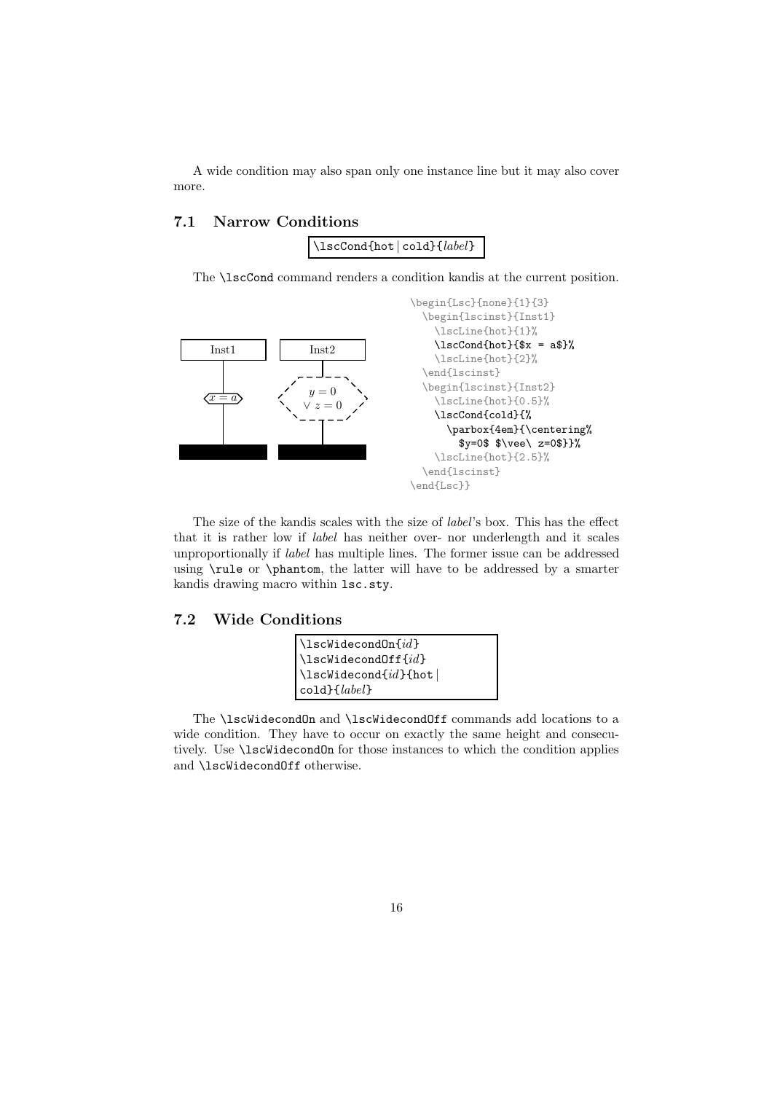A wide condition may also span only one instance line but it may also cover more.

#### 7.1 Narrow Conditions



The \lscCond command renders a condition kandis at the current position.



The size of the kandis scales with the size of label's box. This has the effect that it is rather low if label has neither over- nor underlength and it scales unproportionally if label has multiple lines. The former issue can be addressed using \rule or \phantom, the latter will have to be addressed by a smarter kandis drawing macro within lsc.sty.

#### 7.2 Wide Conditions



The \lscWidecondOn and \lscWidecondOff commands add locations to a wide condition. They have to occur on exactly the same height and consecutively. Use \lscWidecondOn for those instances to which the condition applies and \lscWidecondOff otherwise.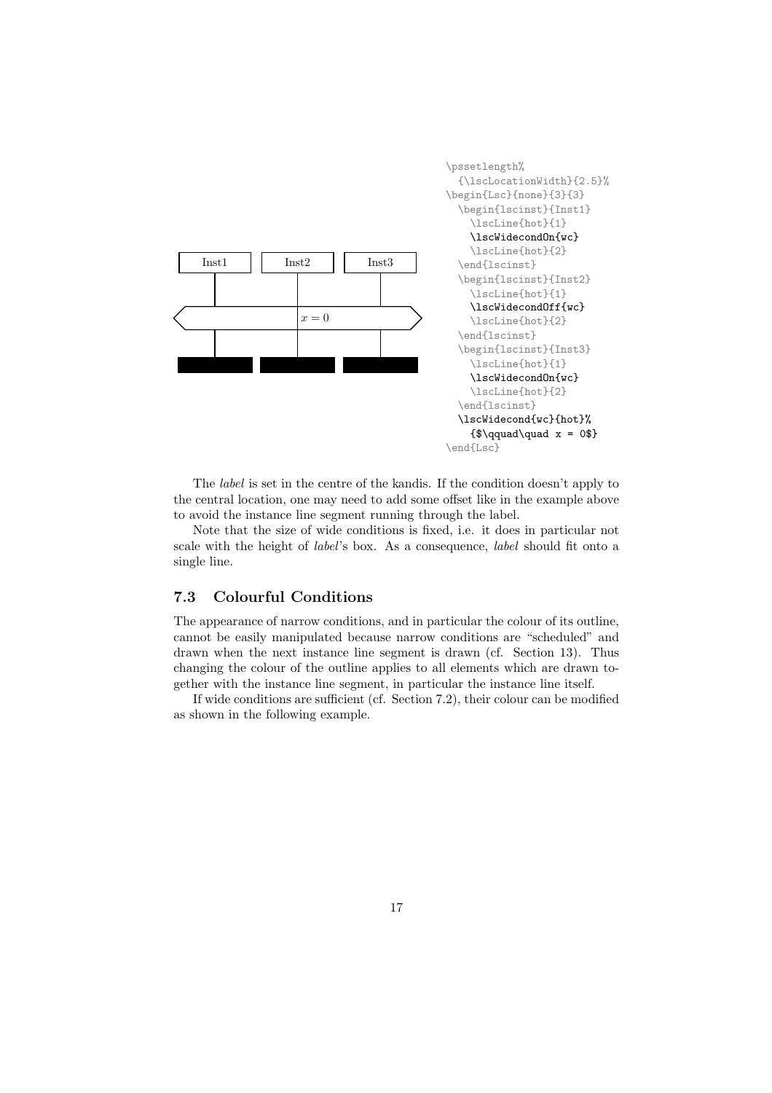

The label is set in the centre of the kandis. If the condition doesn't apply to the central location, one may need to add some offset like in the example above to avoid the instance line segment running through the label.

Note that the size of wide conditions is fixed, i.e. it does in particular not scale with the height of label's box. As a consequence, label should fit onto a single line.

#### 7.3 Colourful Conditions

The appearance of narrow conditions, and in particular the colour of its outline, cannot be easily manipulated because narrow conditions are "scheduled" and drawn when the next instance line segment is drawn (cf. Section 13). Thus changing the colour of the outline applies to all elements which are drawn together with the instance line segment, in particular the instance line itself.

If wide conditions are sufficient (cf. Section 7.2), their colour can be modified as shown in the following example.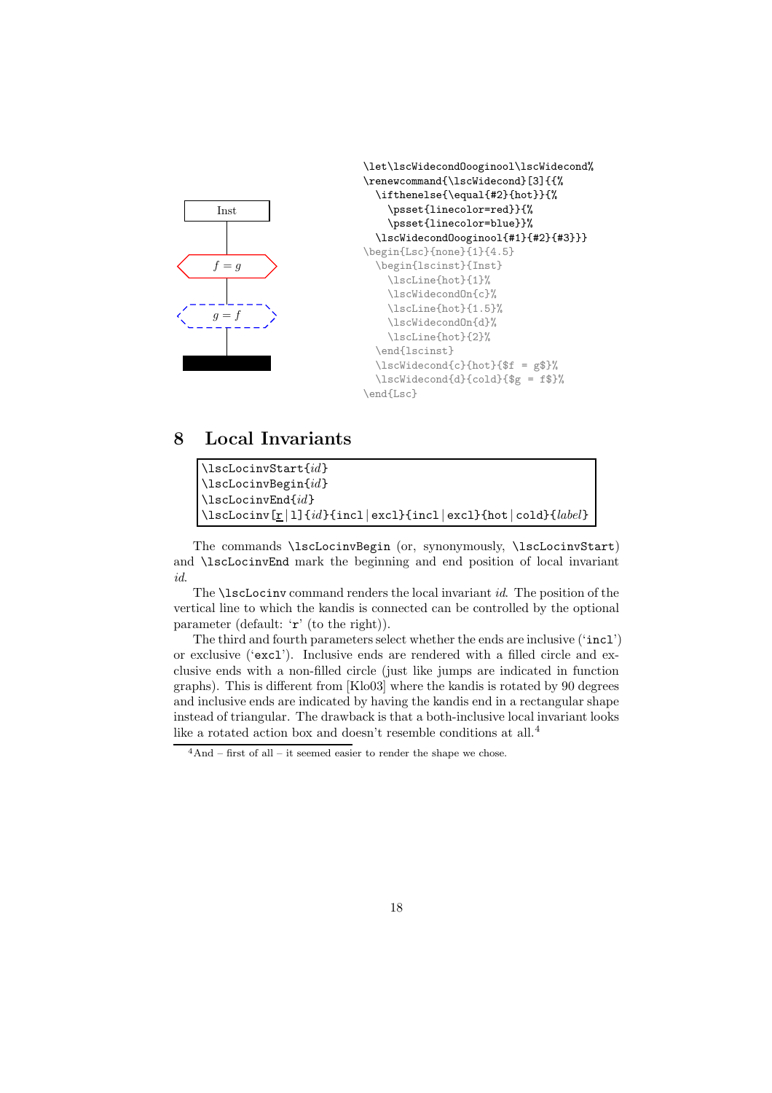

# 8 Local Invariants

| $\text{lls}$ CLocinvStart $\{id\}$                                                  |
|-------------------------------------------------------------------------------------|
| $\text{lscLocinvBegin}\{id\}$                                                       |
| $\text{lscLocinvEnd}\{id\}$                                                         |
| $\lesssim$ LscLocinv $[r 1]\{id\}$ {incl excl}{incl excl}{hot cold}{ <i>label</i> } |

The commands \lscLocinvBegin (or, synonymously, \lscLocinvStart) and \lscLocinvEnd mark the beginning and end position of local invariant id.

The \lscLocinv command renders the local invariant id. The position of the vertical line to which the kandis is connected can be controlled by the optional parameter (default: 'r' (to the right)).

The third and fourth parameters select whether the ends are inclusive ('incl') or exclusive ('excl'). Inclusive ends are rendered with a filled circle and exclusive ends with a non-filled circle (just like jumps are indicated in function graphs). This is different from [Klo03] where the kandis is rotated by 90 degrees and inclusive ends are indicated by having the kandis end in a rectangular shape instead of triangular. The drawback is that a both-inclusive local invariant looks like a rotated action box and doesn't resemble conditions at all.<sup>4</sup>

 $4$ And – first of all – it seemed easier to render the shape we chose.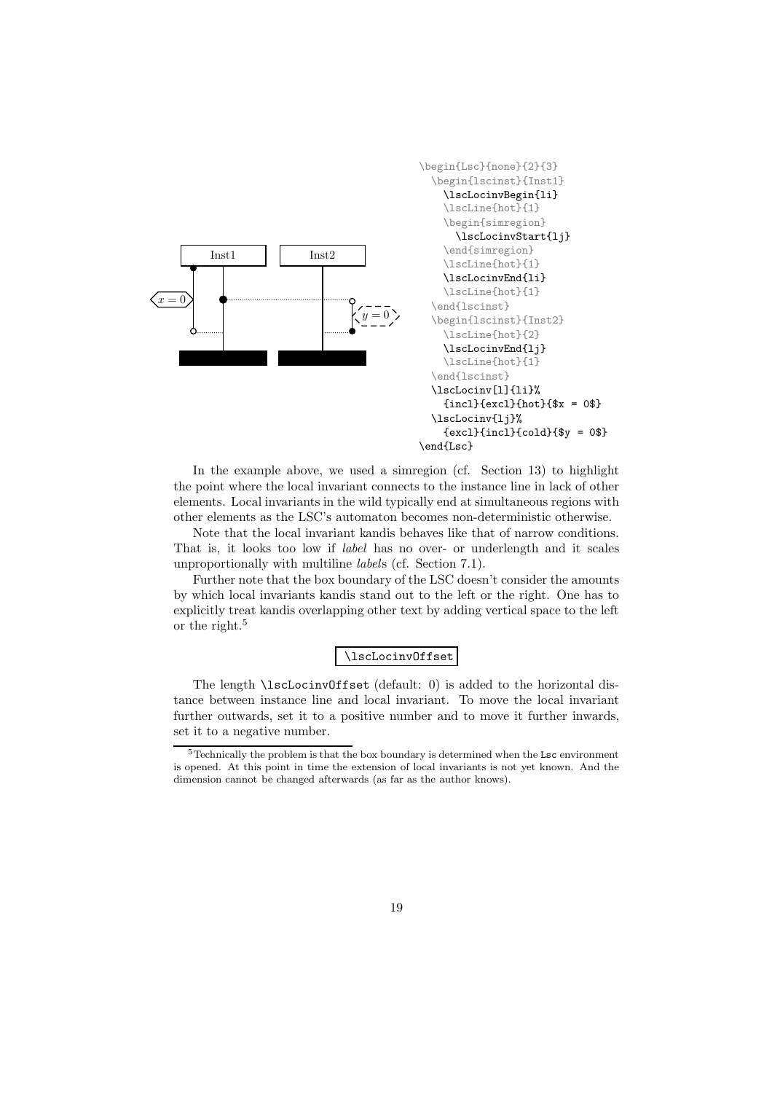

In the example above, we used a simregion (cf. Section 13) to highlight the point where the local invariant connects to the instance line in lack of other elements. Local invariants in the wild typically end at simultaneous regions with other elements as the LSC's automaton becomes non-deterministic otherwise.

Note that the local invariant kandis behaves like that of narrow conditions. That is, it looks too low if label has no over- or underlength and it scales unproportionally with multiline labels (cf. Section 7.1).

Further note that the box boundary of the LSC doesn't consider the amounts by which local invariants kandis stand out to the left or the right. One has to explicitly treat kandis overlapping other text by adding vertical space to the left or the right.<sup>5</sup>

\lscLocinvOffset

The length **\lscLocinvOffset** (default: 0) is added to the horizontal distance between instance line and local invariant. To move the local invariant further outwards, set it to a positive number and to move it further inwards, set it to a negative number.

 $5$ Technically the problem is that the box boundary is determined when the Lsc environment is opened. At this point in time the extension of local invariants is not yet known. And the dimension cannot be changed afterwards (as far as the author knows).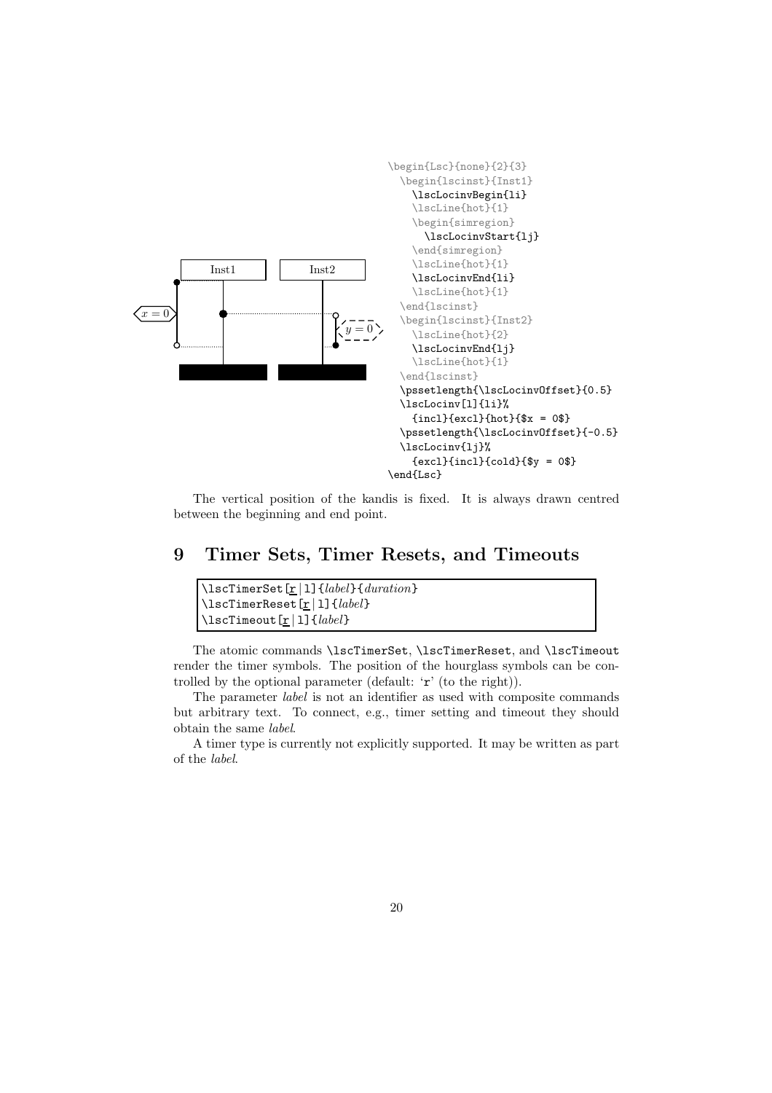

The vertical position of the kandis is fixed. It is always drawn centred between the beginning and end point.

## 9 Timer Sets, Timer Resets, and Timeouts

| $\{\text{lscTimerSet}[\underline{r}   1] \{label\}$                            |  |
|--------------------------------------------------------------------------------|--|
| $\setminus$ lscTimerReset[r 1]{ <i>label</i> }                                 |  |
| $\left[\Delta\right]$ \lscTimeout[ $\underline{r}$ ][ $\left\{label\right\}$ ] |  |

The atomic commands \lscTimerSet, \lscTimerReset, and \lscTimeout render the timer symbols. The position of the hourglass symbols can be controlled by the optional parameter (default: 'r' (to the right)).

The parameter label is not an identifier as used with composite commands but arbitrary text. To connect, e.g., timer setting and timeout they should obtain the same label.

A timer type is currently not explicitly supported. It may be written as part of the label.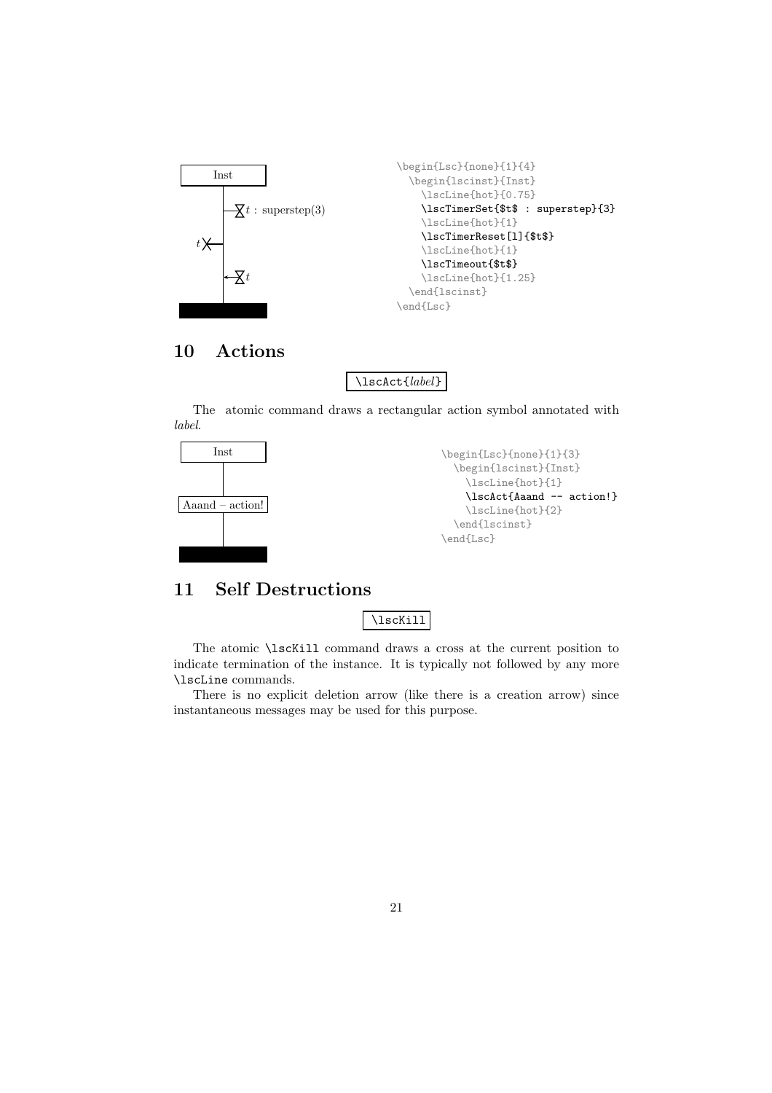

# 10 Actions

\lscAct{label}

The atomic command draws a rectangular action symbol annotated with label.



# 11 Self Destructions

\lscKill

The atomic \lscKill command draws a cross at the current position to indicate termination of the instance. It is typically not followed by any more \lscLine commands.

There is no explicit deletion arrow (like there is a creation arrow) since instantaneous messages may be used for this purpose.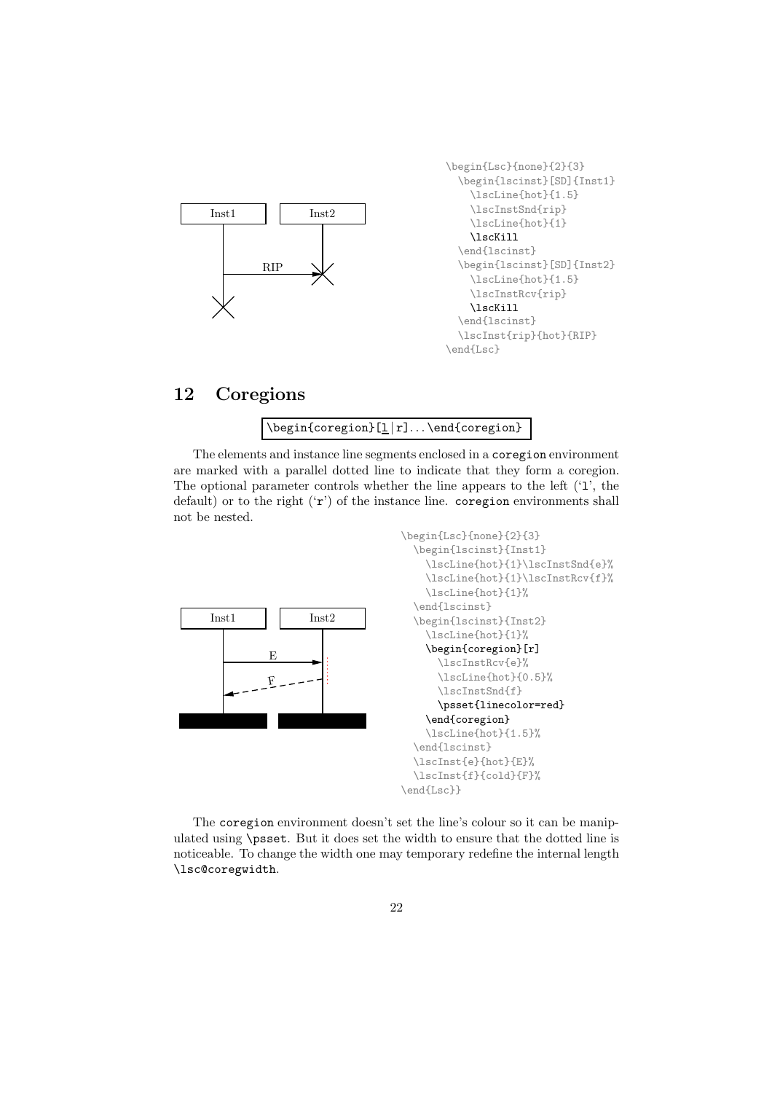

```
\begin{Lsc}{none}{2}{3}
  \begin{lscinst}[SD]{Inst1}
    \lscLine{hot}{1.5}
    \lscInstSnd{rip}
    \lscLine{hot}{1}
    \lscKill
  \end{lscinst}
  \begin{lscinst}[SD]{Inst2}
    \lscLine{hot}{1.5}
    \lscInstRcv{rip}
    \lscKill
  \end{lscinst}
  \lscInst{rip}{hot}{RIP}
\end{Lsc}
```
# 12 Coregions

#### \begin{coregion}[l | r]. . . \end{coregion}

The elements and instance line segments enclosed in a coregion environment are marked with a parallel dotted line to indicate that they form a coregion. The optional parameter controls whether the line appears to the left ('l', the default) or to the right ('r') of the instance line. coregion environments shall not be nested.



The coregion environment doesn't set the line's colour so it can be manipulated using \psset. But it does set the width to ensure that the dotted line is noticeable. To change the width one may temporary redefine the internal length \lsc@coregwidth.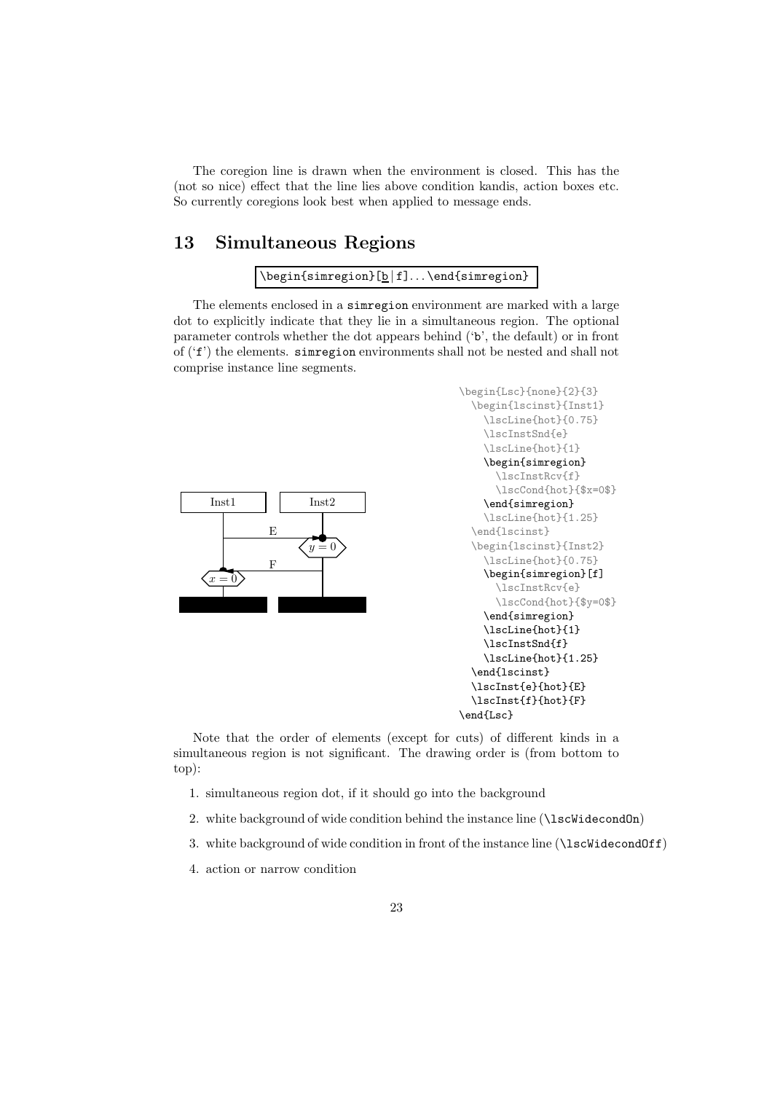The coregion line is drawn when the environment is closed. This has the (not so nice) effect that the line lies above condition kandis, action boxes etc. So currently coregions look best when applied to message ends.

### 13 Simultaneous Regions

```
\begin{simregion}[b|f]...\end{simregion}
```
The elements enclosed in a simregion environment are marked with a large dot to explicitly indicate that they lie in a simultaneous region. The optional parameter controls whether the dot appears behind ('b', the default) or in front of ('f') the elements. simregion environments shall not be nested and shall not comprise instance line segments.





Note that the order of elements (except for cuts) of different kinds in a simultaneous region is not significant. The drawing order is (from bottom to top):

- 1. simultaneous region dot, if it should go into the background
- 2. white background of wide condition behind the instance line (\lscWidecondOn)
- 3. white background of wide condition in front of the instance line (\lscWidecondOff)
- 4. action or narrow condition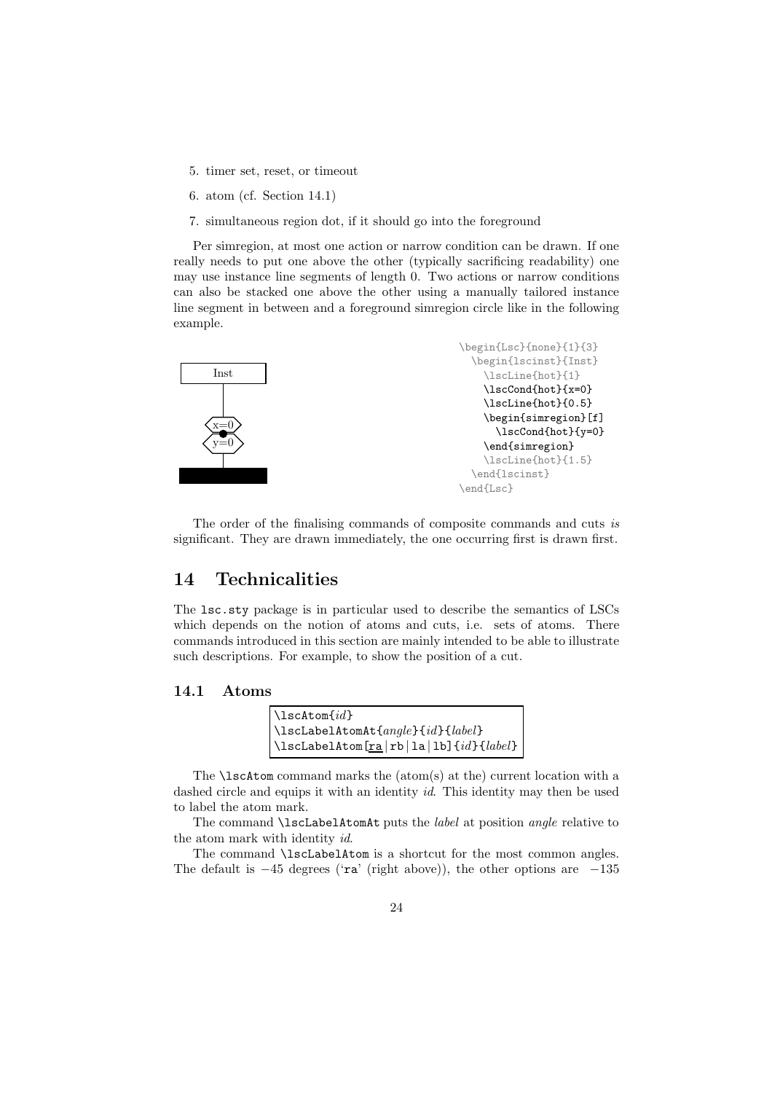- 5. timer set, reset, or timeout
- 6. atom (cf. Section 14.1)
- 7. simultaneous region dot, if it should go into the foreground

Per simregion, at most one action or narrow condition can be drawn. If one really needs to put one above the other (typically sacrificing readability) one may use instance line segments of length 0. Two actions or narrow conditions can also be stacked one above the other using a manually tailored instance line segment in between and a foreground simregion circle like in the following example.



The order of the finalising commands of composite commands and cuts is significant. They are drawn immediately, the one occurring first is drawn first.

### 14 Technicalities

The lsc.sty package is in particular used to describe the semantics of LSCs which depends on the notion of atoms and cuts, i.e. sets of atoms. There commands introduced in this section are mainly intended to be able to illustrate such descriptions. For example, to show the position of a cut.

#### 14.1 Atoms

| $\lambda$ scAtom $\{id\}$                                                                                                      |
|--------------------------------------------------------------------------------------------------------------------------------|
| $\{\lambda\text{IscLabelAtomAt}\{angle\} \{id\} \{label\}$                                                                     |
| $\begin{array}{ c c c c c }\hline \texttt{lsclabelAtom} \texttt{[ra rb la lb]} \texttt{\{id\}} \texttt{\{label\}} \end{array}$ |

The  $\text{lschrom command marks the (atom(s) at the) current location with a}$ dashed circle and equips it with an identity id. This identity may then be used to label the atom mark.

The command **\lscLabelAtomAt** puts the *label* at position *angle* relative to the atom mark with identity id.

The command \lscLabelAtom is a shortcut for the most common angles. The default is  $-45$  degrees ('ra' (right above)), the other options are  $-135$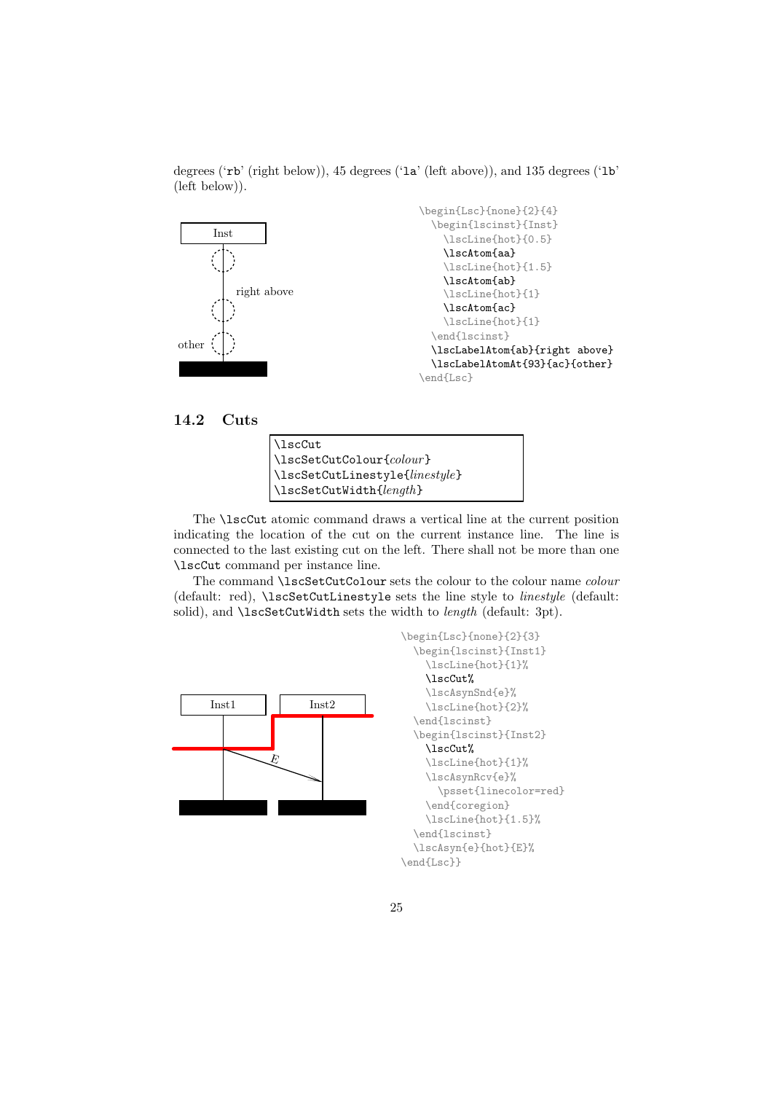

degrees ('rb' (right below)), 45 degrees ('la' (left above)), and 135 degrees ('lb' (left below)).

#### 14.2 Cuts

| \lscCut                        |
|--------------------------------|
| $\{\text{lscSetCutColor}\}$    |
| \lscSetCutLinestyle{linestyle} |
| $\{\text{lscSetCutWidth}\}$    |

The \lscCut atomic command draws a vertical line at the current position indicating the location of the cut on the current instance line. The line is connected to the last existing cut on the left. There shall not be more than one \lscCut command per instance line.

The command **\lscSetCutColour** sets the colour to the colour name *colour* (default: red), \lscSetCutLinestyle sets the line style to *linestyle* (default: solid), and **\lscSetCutWidth** sets the width to *length* (default: 3pt).



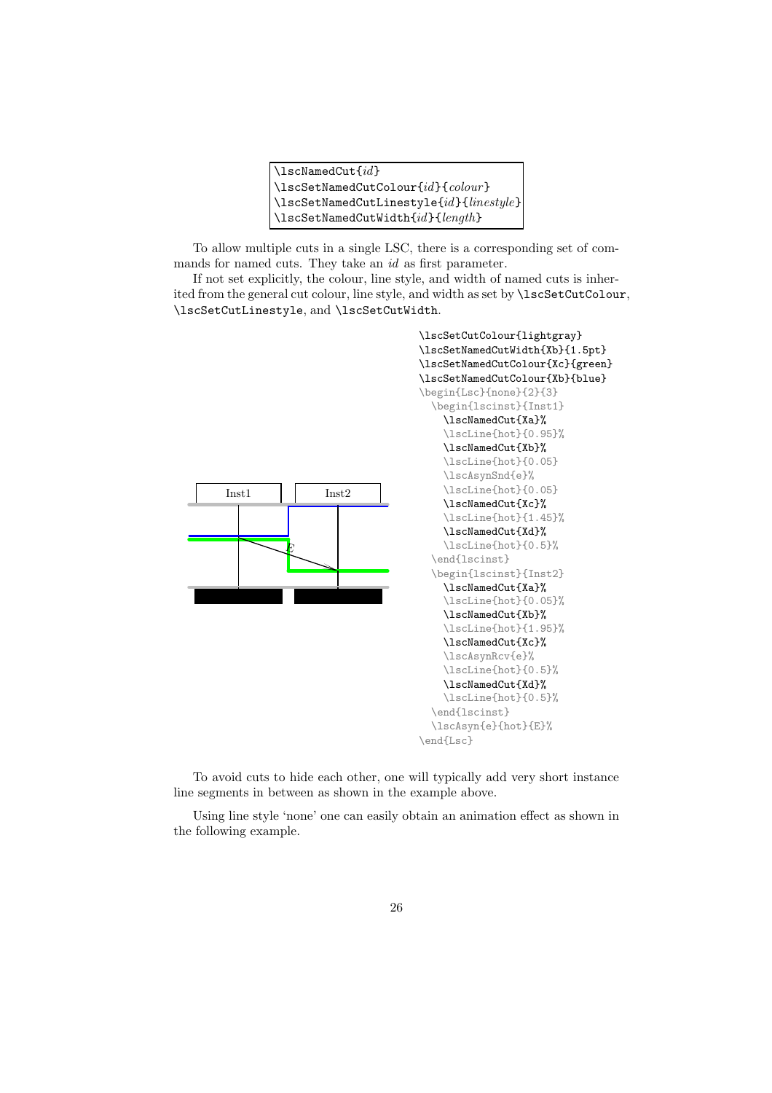| $\lambda$ lscNamedCut $\{id\}$                                 |
|----------------------------------------------------------------|
| $\{\text{lscSetNamedCutColour} \}$                             |
| $\left\{ \times \text{SetNamedCutLinestyle}\{id\} \} \right\}$ |
| $\{\text{lscSetNamedCutWidth}\{id\}\}$                         |

To allow multiple cuts in a single LSC, there is a corresponding set of commands for named cuts. They take an id as first parameter.

If not set explicitly, the colour, line style, and width of named cuts is inherited from the general cut colour, line style, and width as set by \lscSetCutColour, \lscSetCutLinestyle, and \lscSetCutWidth.



To avoid cuts to hide each other, one will typically add very short instance line segments in between as shown in the example above.

Using line style 'none' one can easily obtain an animation effect as shown in the following example.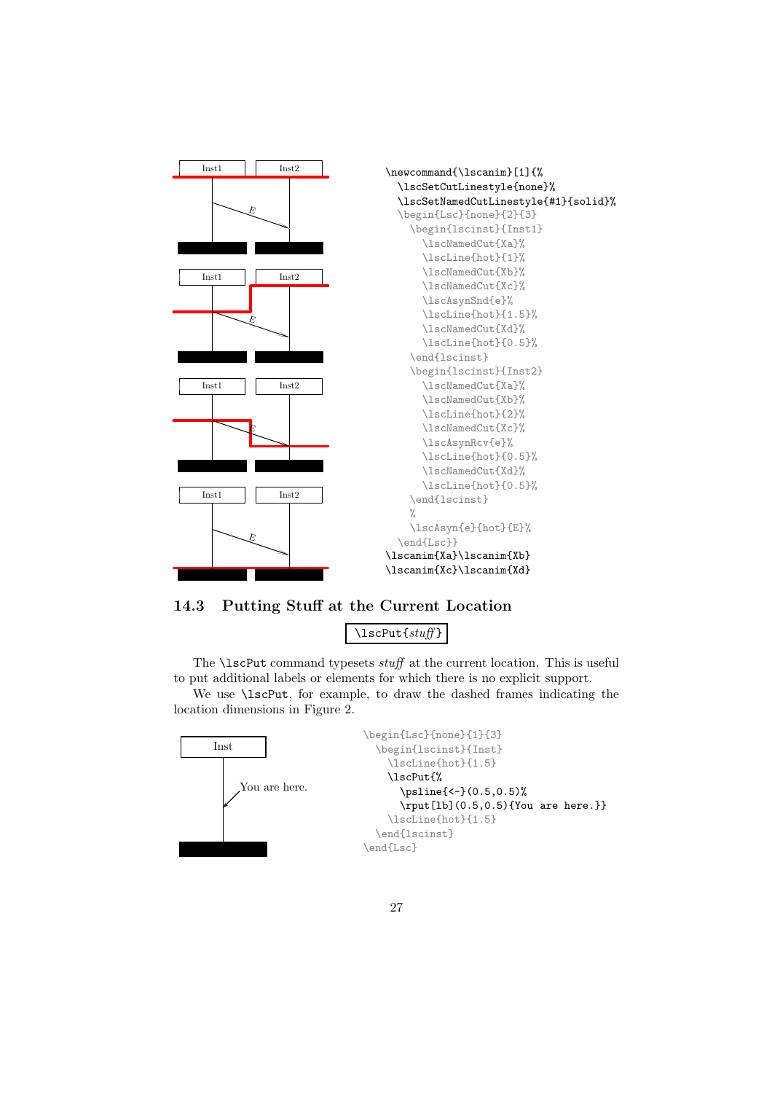

14.3 Putting Stuff at the Current Location

\lscPut{stuff }

The **\lscPut** command typesets stuff at the current location. This is useful to put additional labels or elements for which there is no explicit support.

We use  $\text{Ser}$ , for example, to draw the dashed frames indicating the location dimensions in Figure 2.

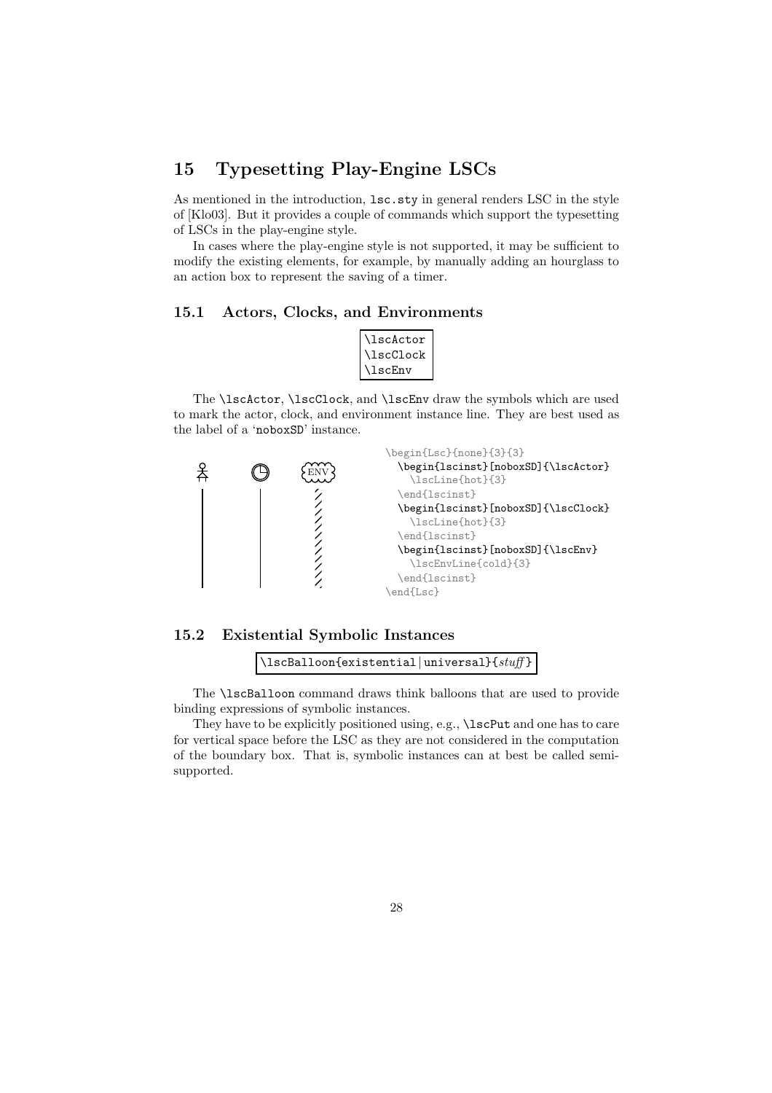# 15 Typesetting Play-Engine LSCs

As mentioned in the introduction, lsc.sty in general renders LSC in the style of [Klo03]. But it provides a couple of commands which support the typesetting of LSCs in the play-engine style.

In cases where the play-engine style is not supported, it may be sufficient to modify the existing elements, for example, by manually adding an hourglass to an action box to represent the saving of a timer.

#### 15.1 Actors, Clocks, and Environments

| <b>\lscActor</b> |  |
|------------------|--|
| \lscClock        |  |
| <b>\lscEnv</b>   |  |

The \lscActor, \lscClock, and \lscEnv draw the symbols which are used to mark the actor, clock, and environment instance line. They are best used as the label of a 'noboxSD' instance.





\lscBalloon{existential|universal}{stuff}

The \lscBalloon command draws think balloons that are used to provide binding expressions of symbolic instances.

They have to be explicitly positioned using, e.g., \lscPut and one has to care for vertical space before the LSC as they are not considered in the computation of the boundary box. That is, symbolic instances can at best be called semisupported.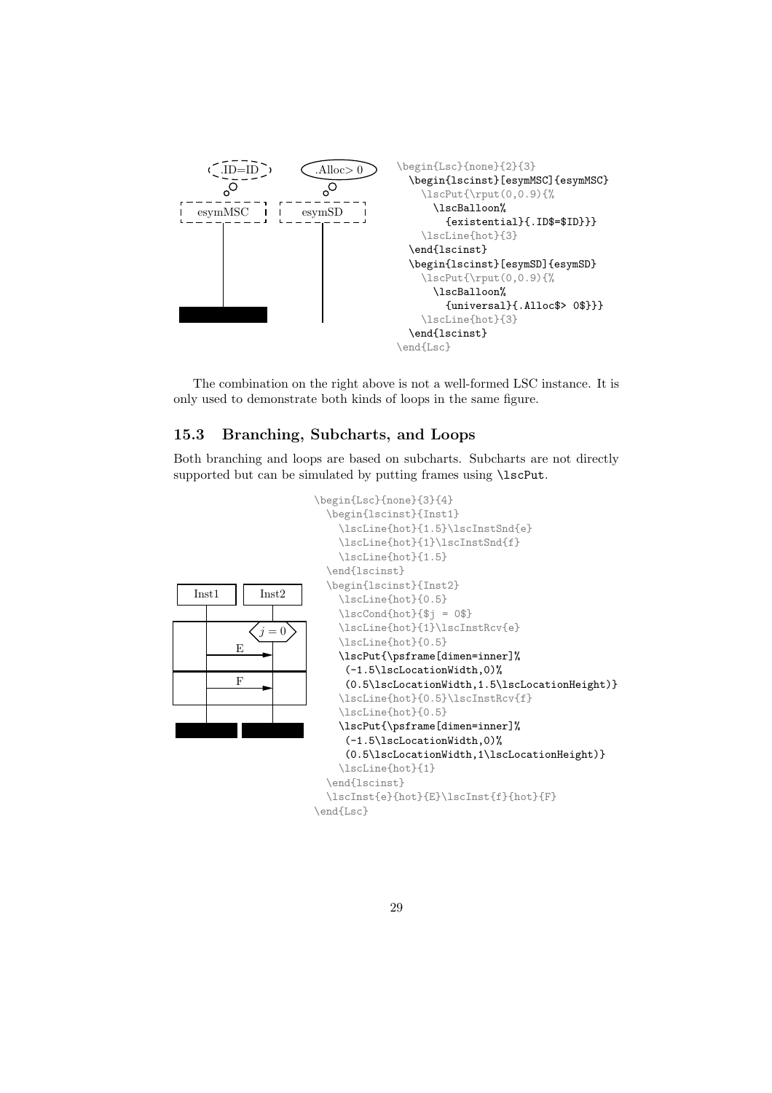

The combination on the right above is not a well-formed LSC instance. It is only used to demonstrate both kinds of loops in the same figure.

### 15.3 Branching, Subcharts, and Loops

Both branching and loops are based on subcharts. Subcharts are not directly supported but can be simulated by putting frames using \lscPut.

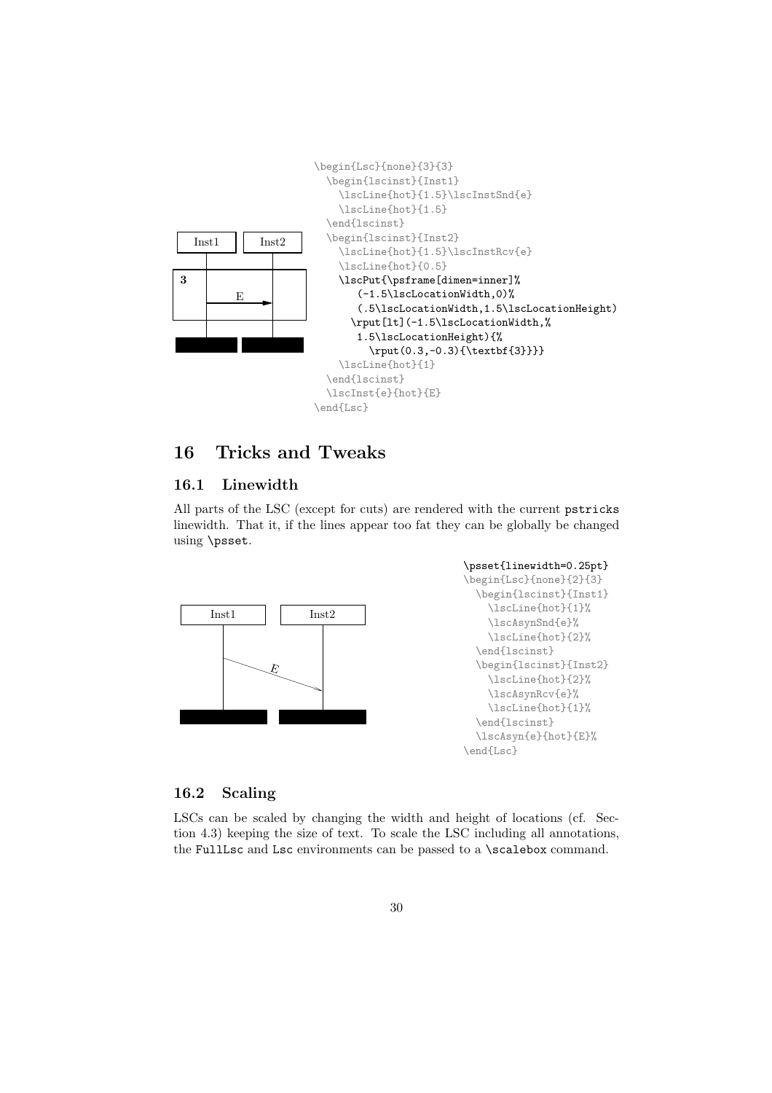

# 16 Tricks and Tweaks

#### 16.1 Linewidth

All parts of the LSC (except for cuts) are rendered with the current pstricks linewidth. That it, if the lines appear too fat they can be globally be changed using \psset.



#### 16.2 Scaling

LSCs can be scaled by changing the width and height of locations (cf. Section 4.3) keeping the size of text. To scale the LSC including all annotations, the FullLsc and Lsc environments can be passed to a **\scalebox** command.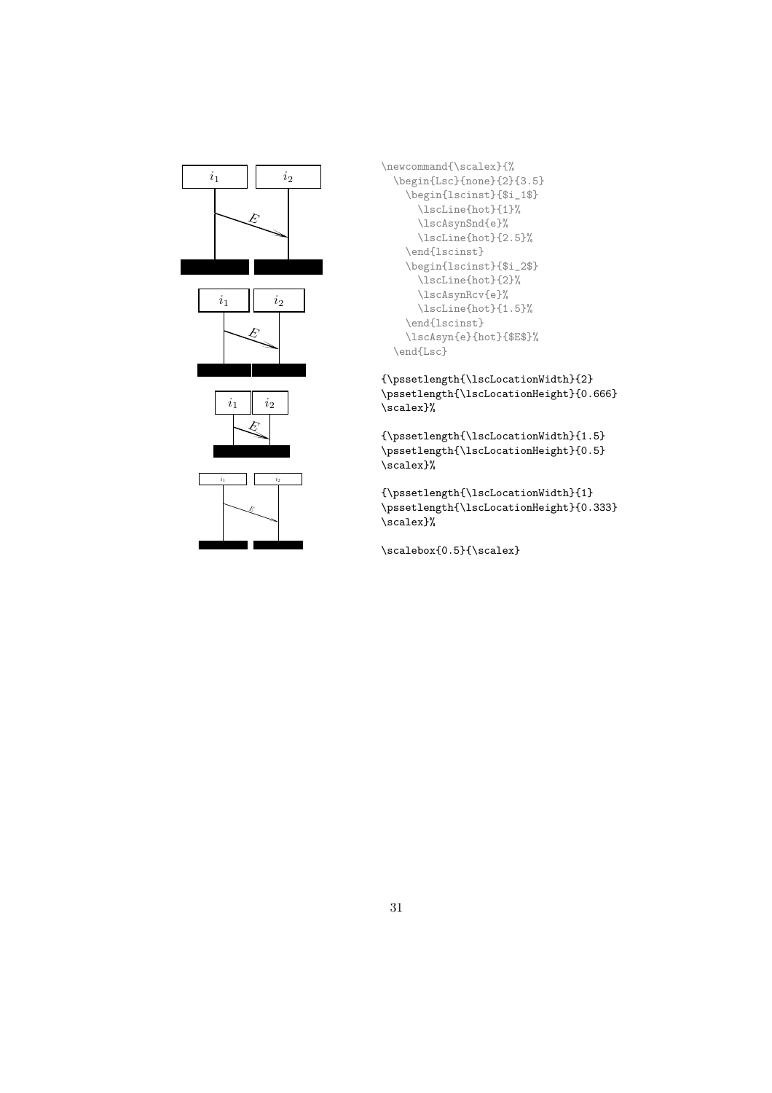

\newcommand{\scalex}{% \begin{Lsc}{none}{2}{3.5} \begin{lscinst}{\$i\_1\$} \lscLine{hot}{1}% \lscAsynSnd{e}% \lscLine{hot}{2.5}% \end{lscinst} \begin{lscinst}{\$i\_2\$} \lscLine{hot}{2}% \lscAsynRcv{e}% \lscLine{hot}{1.5}% \end{lscinst} \lscAsyn{e}{hot}{\$E\$}% \end{Lsc}

 ${\verb|\pssetlength{\verb|\lsclocationWidth}{2}|}$ \pssetlength{\lscLocationHeight}{0.666} \scalex}%

{\pssetlength{\lscLocationWidth}{1.5} \pssetlength{\lscLocationHeight}{0.5} \scalex}%

{\pssetlength{\lscLocationWidth}{1} \pssetlength{\lscLocationHeight}{0.333} \scalex}%

\scalebox{0.5}{\scalex}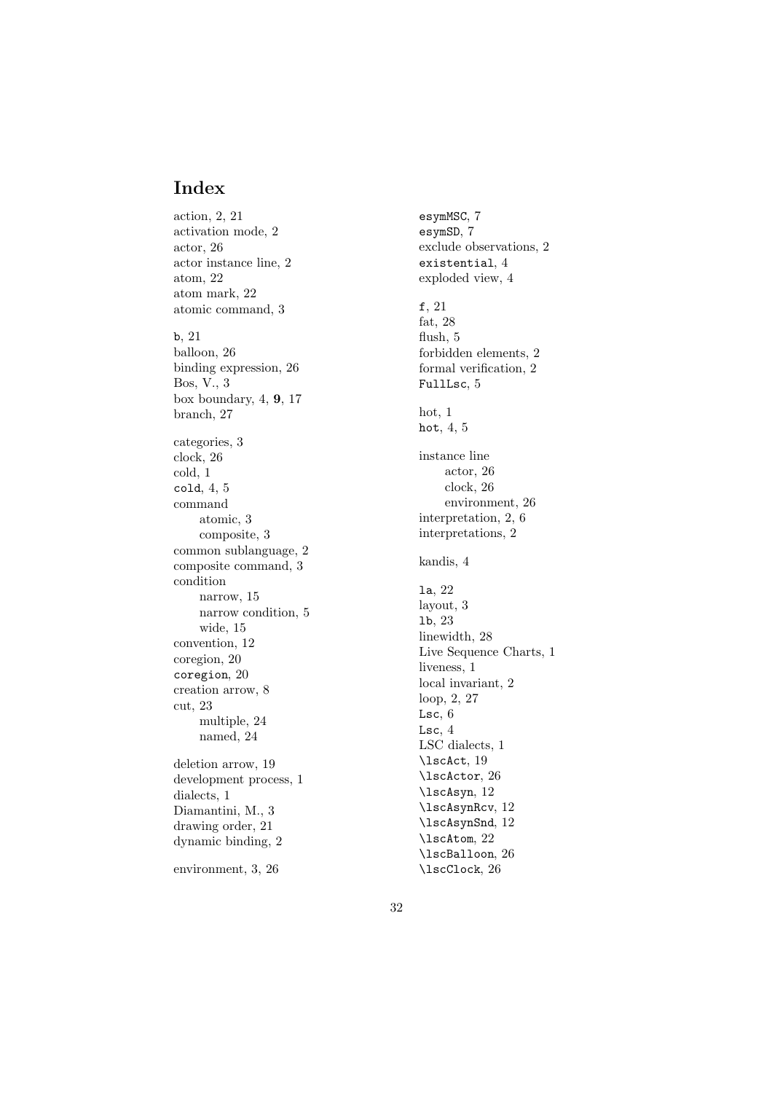# Index

action, 2, 21 activation mode, 2 actor, 26 actor instance line, 2 atom, 22 atom mark, 22 atomic command, 3 b , 21 balloon, 26 binding expression, 26 Bos, V., 3 b o x boundary , 4, 9 , 17 branch, 27 categories, 3 clock, 26 cold, 1 cold , 4, 5 command atomic, 3 composite, 3 common sublanguage, 2 composite command, 3 condition narrow, 15 narro w condition, 5 wide, 15 con vention, 12 coregion, 20 coregion , 20 creation arrow, 8 cut, 23 $multible, 24$ named, 24 deletion arrow, 19 developmen t process, 1 dialects, 1 Diamantini, M., 3 drawing order, 21 dynamic binding, 2 environment, 3, 26

esymMSC , 7 esymSD , 7 exclude observations, 2 existential , 4 exploded view, 4 f , 21 fat, 28 flush, 5 forbidden elements, 2 formal verification, 2 FullLsc , 5 hot, 1 hot,  $4, 5$ instance line actor, 26 clock, 26 environment, 26 interpretation, 2, 6 interpretations, 2 kandis, 4 la , 22 la yout, 3 lb , 23 linewidth, 28 Liv e Sequence Charts, 1 liveness, 1 local in variant, 2 loop, 2, 27 Lsc,  $6$ Lsc,  $4$ LSC dialects, 1 \lscAct , 19 \lscActor , 26 \lscAsyn , 12 \lscAsynRcv , 12 \lscAsynSnd , 12 \lscAtom , 22 \lscBalloon , 26 \lscClock , 26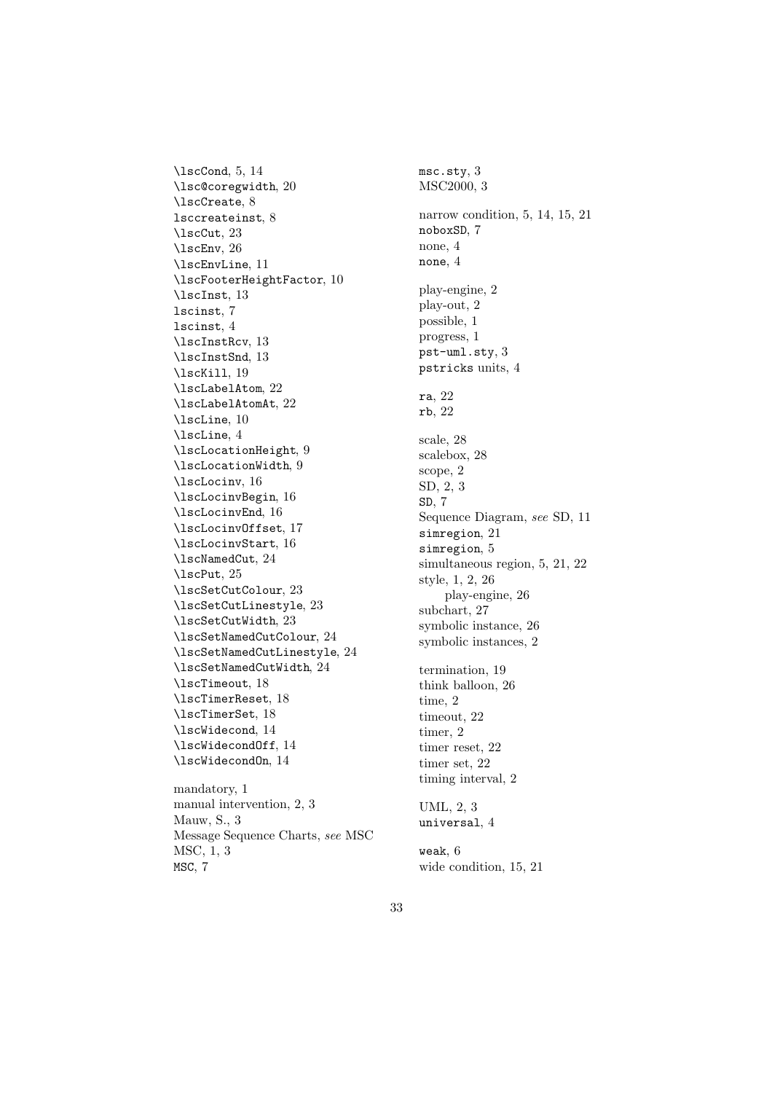\lscCond, 5, 14 \lsc@coregwidth, 20 \lscCreate, 8 lsccreateinst, 8 \lscCut, 23 \lscEnv, 26 \lscEnvLine, 11 \lscFooterHeightFactor, 10 \lscInst, 13 lscinst, 7 lscinst, 4 \lscInstRcv, 13 \lscInstSnd, 13 \lscKill, 19 \lscLabelAtom, 22 \lscLabelAtomAt, 22 \lscLine, 10 \lscLine, 4 \lscLocationHeight, 9 \lscLocationWidth, 9 \lscLocinv, 16 \lscLocinvBegin, 16 \lscLocinvEnd, 16 \lscLocinvOffset, 17 \lscLocinvStart, 16 \lscNamedCut, 24 \lscPut, 25 \lscSetCutColour, 23 \lscSetCutLinestyle, 23 \lscSetCutWidth, 23 \lscSetNamedCutColour, 24 \lscSetNamedCutLinestyle, 24 \lscSetNamedCutWidth, 24 \lscTimeout, 18 \lscTimerReset, 18 \lscTimerSet, 18 \lscWidecond, 14 \lscWidecondOff, 14 \lscWidecondOn, 14 mandatory, 1

manual intervention, 2, 3 Mauw, S., 3 Message Sequence Charts, see MSC MSC, 1, 3 MSC, 7

msc.sty, 3 MSC2000, 3 narrow condition, 5, 14, 15, 21 noboxSD, 7 none, 4 none, 4 play-engine, 2 play-out, 2 possible, 1 progress, 1 pst-uml.sty, 3 pstricks units, 4 ra, 22 rb, 22 scale, 28 scalebox, 28 scope, 2 SD, 2, 3 SD, 7 Sequence Diagram, see SD, 11 simregion, 21 simregion, 5 simultaneous region, 5, 21, 22 style, 1, 2, 26 play-engine, 26 subchart, 27 symbolic instance, 26 symbolic instances, 2 termination, 19 think balloon, 26 time, 2 timeout, 22 timer, 2 timer reset, 22 timer set, 22 timing interval, 2 UML, 2, 3 universal, 4

weak, 6 wide condition, 15, 21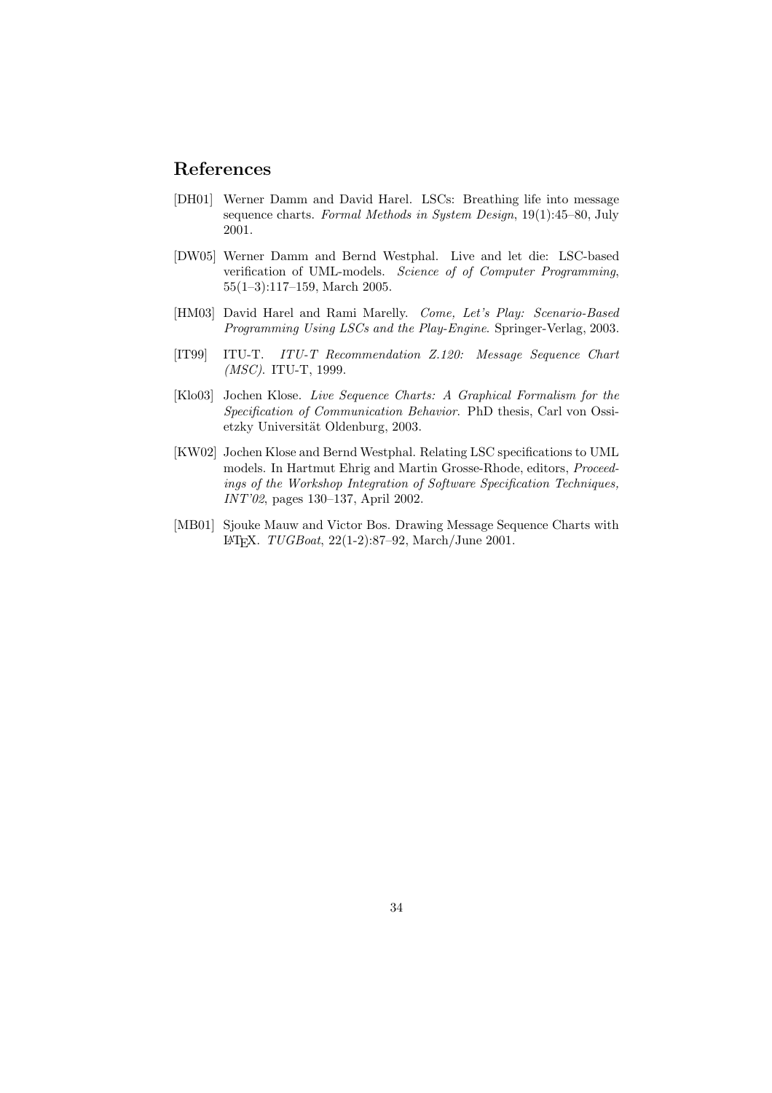# References

- [DH01] Werner Damm and David Harel. LSCs: Breathing life into message sequence charts. Formal Methods in System Design, 19(1):45–80, July 2001.
- [DW05] Werner Damm and Bernd Westphal. Live and let die: LSC-based verification of UML-models. Science of of Computer Programming, 55(1–3):117–159, March 2005.
- [HM03] David Harel and Rami Marelly. Come, Let's Play: Scenario-Based Programming Using LSCs and the Play-Engine. Springer-Verlag, 2003.
- [IT99] ITU-T. ITU-T Recommendation Z.120: Message Sequence Chart (MSC). ITU-T, 1999.
- [Klo03] Jochen Klose. Live Sequence Charts: A Graphical Formalism for the Specification of Communication Behavior. PhD thesis, Carl von Ossietzky Universität Oldenburg, 2003.
- [KW02] Jochen Klose and Bernd Westphal. Relating LSC specifications to UML models. In Hartmut Ehrig and Martin Grosse-Rhode, editors, Proceedings of the Workshop Integration of Software Specification Techniques, INT'02, pages 130–137, April 2002.
- [MB01] Sjouke Mauw and Victor Bos. Drawing Message Sequence Charts with L<sup>A</sup>TEX. TUGBoat, 22(1-2):87–92, March/June 2001.